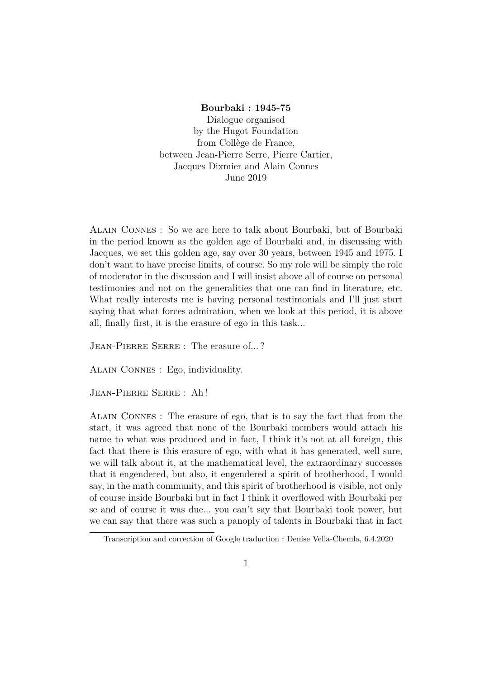## **Bourbaki : 1945-75** Dialogue organised by the Hugot Foundation from Collège de France, between Jean-Pierre Serre, Pierre Cartier, Jacques Dixmier and Alain Connes June 2019

Alain Connes : So we are here to talk about Bourbaki, but of Bourbaki in the period known as the golden age of Bourbaki and, in discussing with Jacques, we set this golden age, say over 30 years, between 1945 and 1975. I don't want to have precise limits, of course. So my role will be simply the role of moderator in the discussion and I will insist above all of course on personal testimonies and not on the generalities that one can find in literature, etc. What really interests me is having personal testimonials and I'll just start saying that what forces admiration, when we look at this period, it is above all, finally first, it is the erasure of ego in this task...

JEAN-PIERRE SERRE : The erasure of...?

Alain Connes : Ego, individuality.

Jean-Pierre Serre : Ah !

Alain Connes : The erasure of ego, that is to say the fact that from the start, it was agreed that none of the Bourbaki members would attach his name to what was produced and in fact, I think it's not at all foreign, this fact that there is this erasure of ego, with what it has generated, well sure, we will talk about it, at the mathematical level, the extraordinary successes that it engendered, but also, it engendered a spirit of brotherhood, I would say, in the math community, and this spirit of brotherhood is visible, not only of course inside Bourbaki but in fact I think it overflowed with Bourbaki per se and of course it was due... you can't say that Bourbaki took power, but we can say that there was such a panoply of talents in Bourbaki that in fact

Transcription and correction of Google traduction : Denise Vella-Chemla, 6.4.2020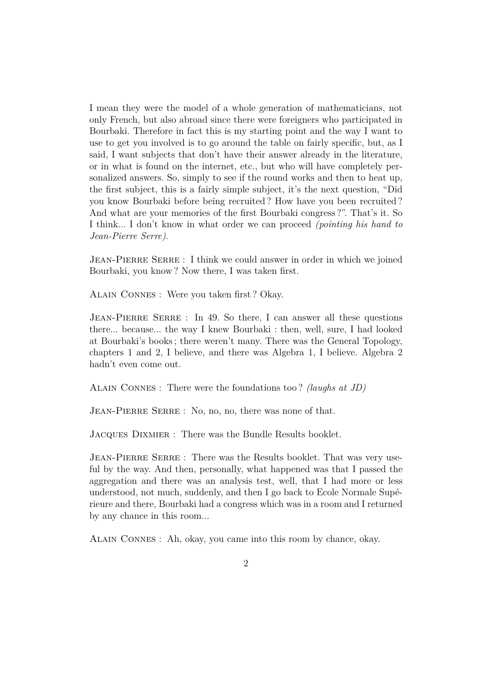I mean they were the model of a whole generation of mathematicians, not only French, but also abroad since there were foreigners who participated in Bourbaki. Therefore in fact this is my starting point and the way I want to use to get you involved is to go around the table on fairly specific, but, as I said, I want subjects that don't have their answer already in the literature, or in what is found on the internet, etc., but who will have completely personalized answers. So, simply to see if the round works and then to heat up, the first subject, this is a fairly simple subject, it's the next question, "Did you know Bourbaki before being recruited ? How have you been recruited ? And what are your memories of the first Bourbaki congress ?". That's it. So I think... I don't know in what order we can proceed *(pointing his hand to Jean-Pierre Serre)*.

JEAN-PIERRE SERRE : I think we could answer in order in which we joined Bourbaki, you know ? Now there, I was taken first.

Alain Connes : Were you taken first ? Okay.

JEAN-PIERRE SERRE : In 49. So there, I can answer all these questions there... because... the way I knew Bourbaki : then, well, sure, I had looked at Bourbaki's books ; there weren't many. There was the General Topology, chapters 1 and 2, I believe, and there was Algebra 1, I believe. Algebra 2 hadn't even come out.

Alain Connes : There were the foundations too ? *(laughs at JD)*

JEAN-PIERRE SERRE : No, no, no, there was none of that.

Jacques Dixmier : There was the Bundle Results booklet.

JEAN-PIERRE SERRE : There was the Results booklet. That was very useful by the way. And then, personally, what happened was that I passed the aggregation and there was an analysis test, well, that I had more or less understood, not much, suddenly, and then I go back to Ecole Normale Supérieure and there, Bourbaki had a congress which was in a room and I returned by any chance in this room...

Alain Connes : Ah, okay, you came into this room by chance, okay.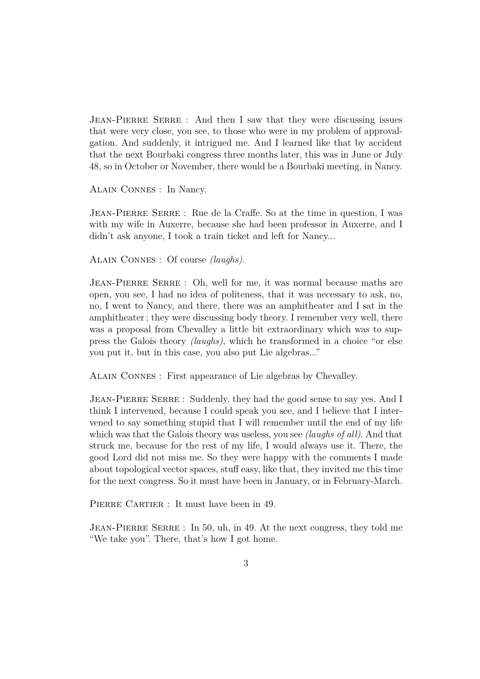Jean-Pierre Serre : And then I saw that they were discussing issues that were very close, you see, to those who were in my problem of approvalgation. And suddenly, it intrigued me. And I learned like that by accident that the next Bourbaki congress three months later, this was in June or July 48, so in October or November, there would be a Bourbaki meeting, in Nancy.

Alain Connes : In Nancy.

Jean-Pierre Serre : Rue de la Craffe. So at the time in question, I was with my wife in Auxerre, because she had been professor in Auxerre, and I didn't ask anyone, I took a train ticket and left for Nancy...

Alain Connes : Of course *(laughs)*.

JEAN-PIERRE SERRE : Oh, well for me, it was normal because maths are open, you see, I had no idea of politeness, that it was necessary to ask, no, no, I went to Nancy, and there, there was an amphitheater and I sat in the amphitheater ; they were discussing body theory. I remember very well, there was a proposal from Chevalley a little bit extraordinary which was to suppress the Galois theory *(laughs)*, which he transformed in a choice "or else you put it, but in this case, you also put Lie algebras..."

Alain Connes : First appearance of Lie algebras by Chevalley.

Jean-Pierre Serre : Suddenly, they had the good sense to say yes. And I think I intervened, because I could speak you see, and I believe that I intervened to say something stupid that I will remember until the end of my life which was that the Galois theory was useless, you see *(laughs of all)*. And that struck me, because for the rest of my life, I would always use it. There, the good Lord did not miss me. So they were happy with the comments I made about topological vector spaces, stuff easy, like that, they invited me this time for the next congress. So it must have been in January, or in February-March.

PIERRE CARTIER : It must have been in 49.

Jean-Pierre Serre : In 50, uh, in 49. At the next congress, they told me "We take you". There, that's how I got home.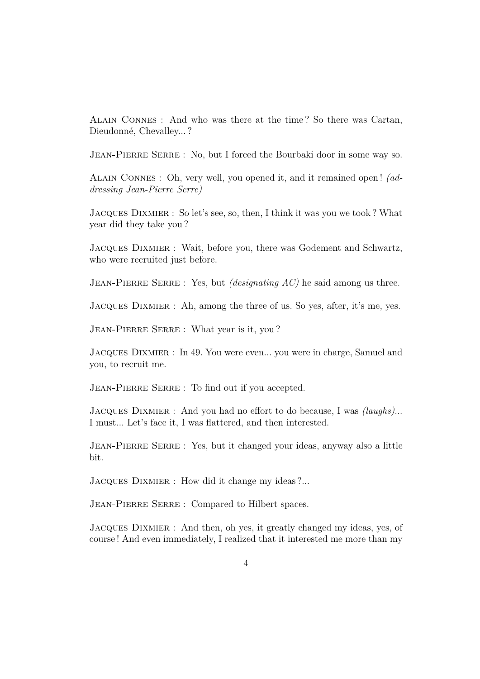Alain Connes : And who was there at the time ? So there was Cartan, Dieudonné, Chevalley... ?

JEAN-PIERRE SERRE : No, but I forced the Bourbaki door in some way so.

Alain Connes : Oh, very well, you opened it, and it remained open ! *(addressing Jean-Pierre Serre)*

Jacques Dixmier : So let's see, so, then, I think it was you we took ? What year did they take you ?

Jacques Dixmier : Wait, before you, there was Godement and Schwartz, who were recruited just before.

JEAN-PIERRE SERRE : Yes, but *(designating AC)* he said among us three.

Jacques Dixmier : Ah, among the three of us. So yes, after, it's me, yes.

JEAN-PIERRE SERRE : What year is it, you?

Jacques Dixmier : In 49. You were even... you were in charge, Samuel and you, to recruit me.

JEAN-PIERRE SERRE : To find out if you accepted.

Jacques Dixmier : And you had no effort to do because, I was *(laughs)*... I must... Let's face it, I was flattered, and then interested.

JEAN-PIERRE SERRE : Yes, but it changed your ideas, anyway also a little bit.

JACQUES DIXMIER : How did it change my ideas ?...

JEAN-PIERRE SERRE : Compared to Hilbert spaces.

Jacques Dixmier : And then, oh yes, it greatly changed my ideas, yes, of course ! And even immediately, I realized that it interested me more than my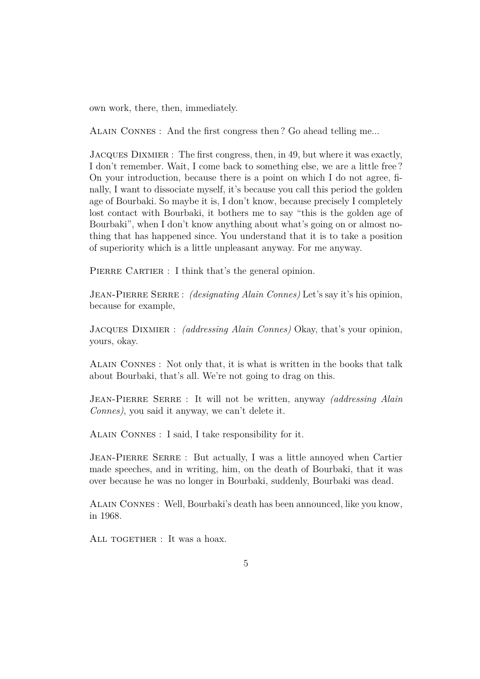own work, there, then, immediately.

Alain Connes : And the first congress then ? Go ahead telling me...

Jacques Dixmier : The first congress, then, in 49, but where it was exactly, I don't remember. Wait, I come back to something else, we are a little free ? On your introduction, because there is a point on which I do not agree, finally, I want to dissociate myself, it's because you call this period the golden age of Bourbaki. So maybe it is, I don't know, because precisely I completely lost contact with Bourbaki, it bothers me to say "this is the golden age of Bourbaki", when I don't know anything about what's going on or almost nothing that has happened since. You understand that it is to take a position of superiority which is a little unpleasant anyway. For me anyway.

PIERRE CARTIER : I think that's the general opinion.

Jean-Pierre Serre : *(designating Alain Connes)* Let's say it's his opinion, because for example,

Jacques Dixmier : *(addressing Alain Connes)* Okay, that's your opinion, yours, okay.

Alain Connes : Not only that, it is what is written in the books that talk about Bourbaki, that's all. We're not going to drag on this.

Jean-Pierre Serre : It will not be written, anyway *(addressing Alain Connes)*, you said it anyway, we can't delete it.

Alain Connes : I said, I take responsibility for it.

JEAN-PIERRE SERRE : But actually, I was a little annoyed when Cartier made speeches, and in writing, him, on the death of Bourbaki, that it was over because he was no longer in Bourbaki, suddenly, Bourbaki was dead.

Alain Connes : Well, Bourbaki's death has been announced, like you know, in 1968.

ALL TOGETHER : It was a hoax.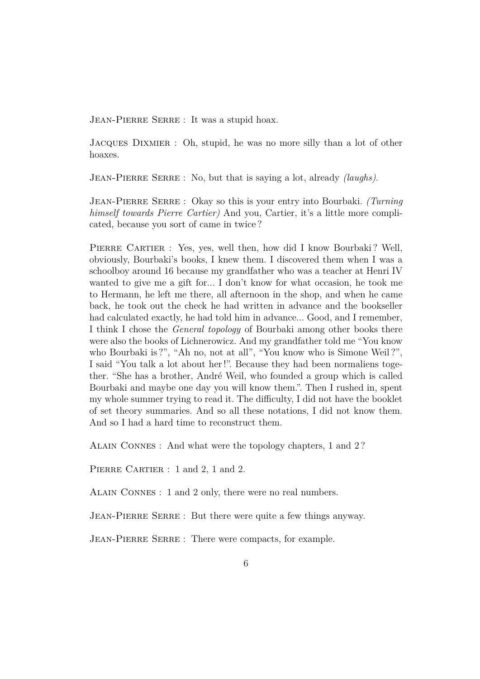JEAN-PIERRE SERRE : It was a stupid hoax.

Jacques Dixmier : Oh, stupid, he was no more silly than a lot of other hoaxes.

Jean-Pierre Serre : No, but that is saying a lot, already *(laughs)*.

Jean-Pierre Serre : Okay so this is your entry into Bourbaki. *(Turning himself towards Pierre Cartier)* And you, Cartier, it's a little more complicated, because you sort of came in twice ?

PIERRE CARTIER : Yes, yes, well then, how did I know Bourbaki? Well, obviously, Bourbaki's books, I knew them. I discovered them when I was a schoolboy around 16 because my grandfather who was a teacher at Henri IV wanted to give me a gift for... I don't know for what occasion, he took me to Hermann, he left me there, all afternoon in the shop, and when he came back, he took out the check he had written in advance and the bookseller had calculated exactly, he had told him in advance... Good, and I remember, I think I chose the *General topology* of Bourbaki among other books there were also the books of Lichnerowicz. And my grandfather told me "You know who Bourbaki is ?", "Ah no, not at all", "You know who is Simone Weil?", I said "You talk a lot about her !". Because they had been normaliens together. "She has a brother, André Weil, who founded a group which is called Bourbaki and maybe one day you will know them.". Then I rushed in, spent my whole summer trying to read it. The difficulty, I did not have the booklet of set theory summaries. And so all these notations, I did not know them. And so I had a hard time to reconstruct them.

Alain Connes : And what were the topology chapters, 1 and 2 ?

PIERRE CARTIER : 1 and 2, 1 and 2.

Alain Connes : 1 and 2 only, there were no real numbers.

JEAN-PIERRE SERRE : But there were quite a few things anyway.

JEAN-PIERRE SERRE : There were compacts, for example.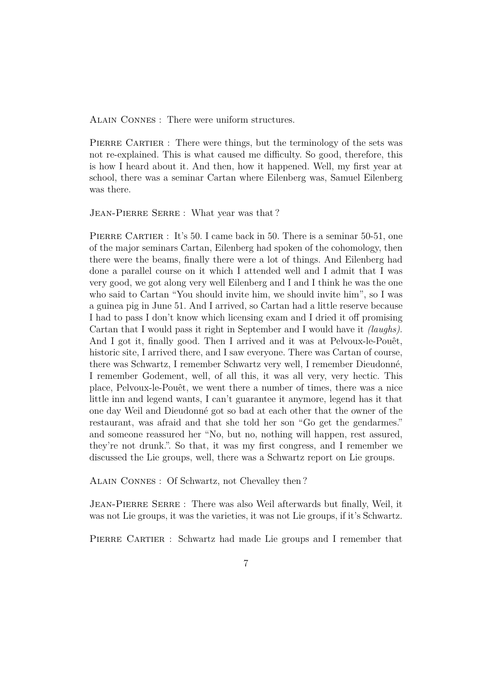Alain Connes : There were uniform structures.

PIERRE CARTIER : There were things, but the terminology of the sets was not re-explained. This is what caused me difficulty. So good, therefore, this is how I heard about it. And then, how it happened. Well, my first year at school, there was a seminar Cartan where Eilenberg was, Samuel Eilenberg was there.

JEAN-PIERRE SERRE : What year was that?

PIERRE CARTIER : It's 50. I came back in 50. There is a seminar 50-51, one of the major seminars Cartan, Eilenberg had spoken of the cohomology, then there were the beams, finally there were a lot of things. And Eilenberg had done a parallel course on it which I attended well and I admit that I was very good, we got along very well Eilenberg and I and I think he was the one who said to Cartan "You should invite him, we should invite him", so I was a guinea pig in June 51. And I arrived, so Cartan had a little reserve because I had to pass I don't know which licensing exam and I dried it off promising Cartan that I would pass it right in September and I would have it *(laughs)*. And I got it, finally good. Then I arrived and it was at Pelvoux-le-Pouêt, historic site, I arrived there, and I saw everyone. There was Cartan of course, there was Schwartz, I remember Schwartz very well, I remember Dieudonné, I remember Godement, well, of all this, it was all very, very hectic. This place, Pelvoux-le-Pouêt, we went there a number of times, there was a nice little inn and legend wants, I can't guarantee it anymore, legend has it that one day Weil and Dieudonné got so bad at each other that the owner of the restaurant, was afraid and that she told her son "Go get the gendarmes." and someone reassured her "No, but no, nothing will happen, rest assured, they're not drunk.". So that, it was my first congress, and I remember we discussed the Lie groups, well, there was a Schwartz report on Lie groups.

Alain Connes : Of Schwartz, not Chevalley then ?

JEAN-PIERRE SERRE : There was also Weil afterwards but finally, Weil, it was not Lie groups, it was the varieties, it was not Lie groups, if it's Schwartz.

PIERRE CARTIER : Schwartz had made Lie groups and I remember that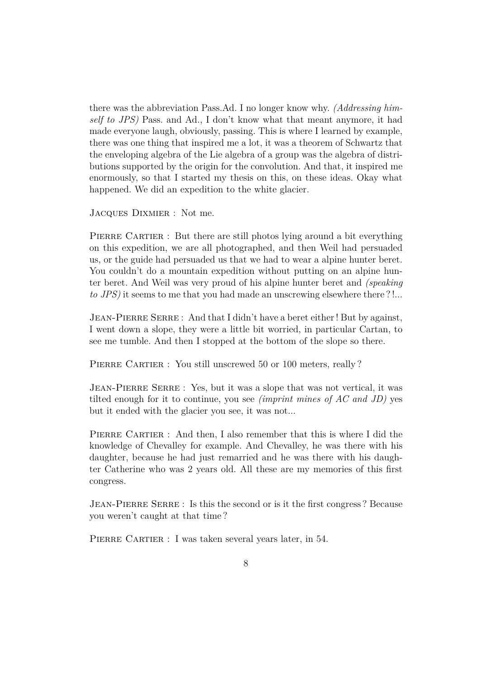there was the abbreviation Pass.Ad. I no longer know why. *(Addressing himself to JPS)* Pass. and Ad., I don't know what that meant anymore, it had made everyone laugh, obviously, passing. This is where I learned by example, there was one thing that inspired me a lot, it was a theorem of Schwartz that the enveloping algebra of the Lie algebra of a group was the algebra of distributions supported by the origin for the convolution. And that, it inspired me enormously, so that I started my thesis on this, on these ideas. Okay what happened. We did an expedition to the white glacier.

Jacques Dixmier : Not me.

PIERRE CARTIER : But there are still photos lying around a bit everything on this expedition, we are all photographed, and then Weil had persuaded us, or the guide had persuaded us that we had to wear a alpine hunter beret. You couldn't do a mountain expedition without putting on an alpine hunter beret. And Weil was very proud of his alpine hunter beret and *(speaking to JPS)* it seems to me that you had made an unscrewing elsewhere there ? !...

JEAN-PIERRE SERRE : And that I didn't have a beret either ! But by against, I went down a slope, they were a little bit worried, in particular Cartan, to see me tumble. And then I stopped at the bottom of the slope so there.

PIERRE CARTIER : You still unscrewed 50 or 100 meters, really?

JEAN-PIERRE SERRE : Yes, but it was a slope that was not vertical, it was tilted enough for it to continue, you see *(imprint mines of AC and JD)* yes but it ended with the glacier you see, it was not...

PIERRE CARTIER : And then, I also remember that this is where I did the knowledge of Chevalley for example. And Chevalley, he was there with his daughter, because he had just remarried and he was there with his daughter Catherine who was 2 years old. All these are my memories of this first congress.

JEAN-PIERRE SERRE : Is this the second or is it the first congress? Because you weren't caught at that time ?

PIERRE CARTIER : I was taken several years later, in 54.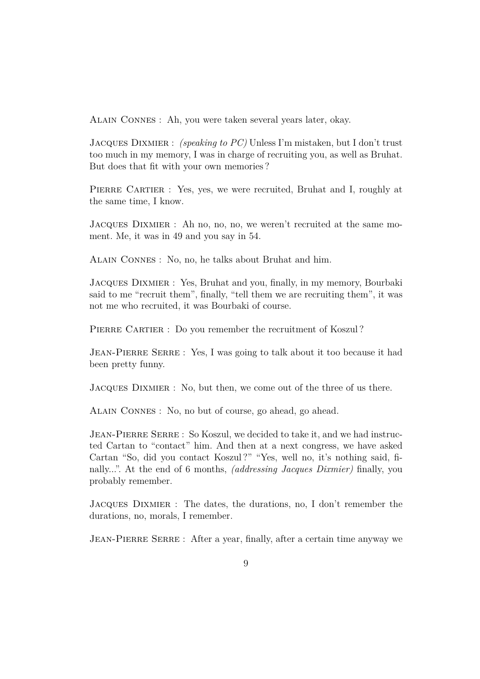Alain Connes : Ah, you were taken several years later, okay.

Jacques Dixmier : *(speaking to PC)* Unless I'm mistaken, but I don't trust too much in my memory, I was in charge of recruiting you, as well as Bruhat. But does that fit with your own memories ?

PIERRE CARTIER : Yes, yes, we were recruited, Bruhat and I, roughly at the same time, I know.

Jacques Dixmier : Ah no, no, no, we weren't recruited at the same moment. Me, it was in 49 and you say in 54.

Alain Connes : No, no, he talks about Bruhat and him.

Jacques Dixmier : Yes, Bruhat and you, finally, in my memory, Bourbaki said to me "recruit them", finally, "tell them we are recruiting them", it was not me who recruited, it was Bourbaki of course.

PIERRE CARTIER : Do you remember the recruitment of Koszul?

Jean-Pierre Serre : Yes, I was going to talk about it too because it had been pretty funny.

Jacques Dixmier : No, but then, we come out of the three of us there.

Alain Connes : No, no but of course, go ahead, go ahead.

Jean-Pierre Serre : So Koszul, we decided to take it, and we had instructed Cartan to "contact" him. And then at a next congress, we have asked Cartan "So, did you contact Koszul ?" "Yes, well no, it's nothing said, finally...". At the end of 6 months, *(addressing Jacques Dixmier)* finally, you probably remember.

Jacques Dixmier : The dates, the durations, no, I don't remember the durations, no, morals, I remember.

JEAN-PIERRE SERRE : After a year, finally, after a certain time anyway we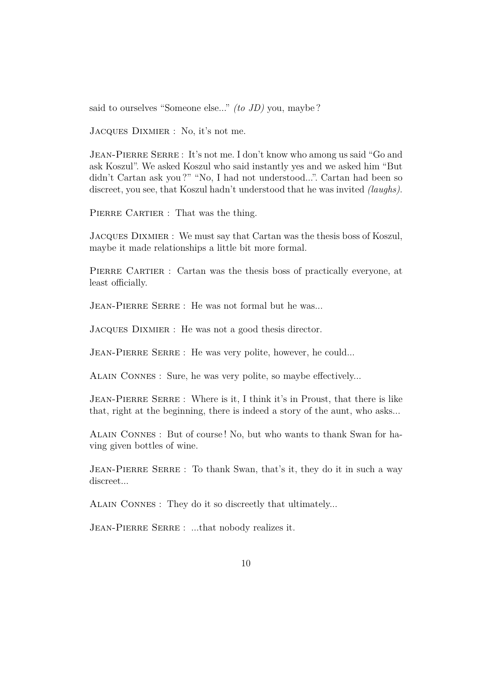said to ourselves "Someone else..." *(to JD)* you, maybe ?

Jacques Dixmier : No, it's not me.

JEAN-PIERRE SERRE : It's not me. I don't know who among us said "Go and ask Koszul". We asked Koszul who said instantly yes and we asked him "But didn't Cartan ask you ?" "No, I had not understood...". Cartan had been so discreet, you see, that Koszul hadn't understood that he was invited *(laughs)*.

PIERRE CARTIER : That was the thing.

Jacques Dixmier : We must say that Cartan was the thesis boss of Koszul, maybe it made relationships a little bit more formal.

PIERRE CARTIER : Cartan was the thesis boss of practically everyone, at least officially.

JEAN-PIERRE SERRE : He was not formal but he was...

Jacques Dixmier : He was not a good thesis director.

JEAN-PIERRE SERRE : He was very polite, however, he could...

Alain Connes : Sure, he was very polite, so maybe effectively...

JEAN-PIERRE SERRE : Where is it, I think it's in Proust, that there is like that, right at the beginning, there is indeed a story of the aunt, who asks...

Alain Connes : But of course ! No, but who wants to thank Swan for having given bottles of wine.

JEAN-PIERRE SERRE : To thank Swan, that's it, they do it in such a way discreet...

Alain Connes : They do it so discreetly that ultimately...

JEAN-PIERRE SERRE : ...that nobody realizes it.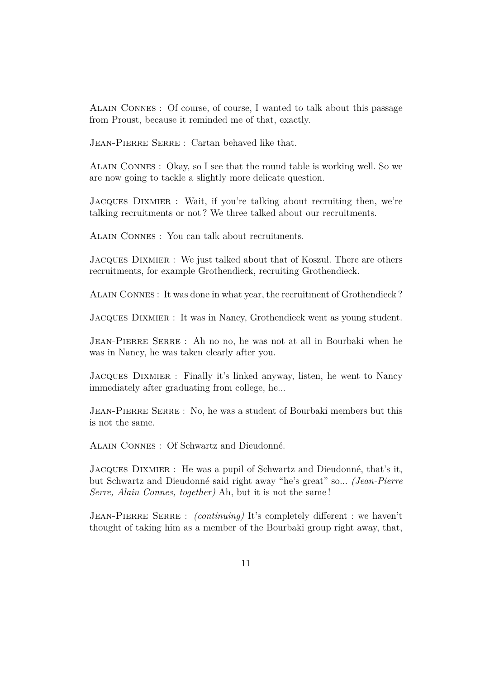Alain Connes : Of course, of course, I wanted to talk about this passage from Proust, because it reminded me of that, exactly.

JEAN-PIERRE SERRE : Cartan behaved like that.

Alain Connes : Okay, so I see that the round table is working well. So we are now going to tackle a slightly more delicate question.

Jacques Dixmier : Wait, if you're talking about recruiting then, we're talking recruitments or not ? We three talked about our recruitments.

Alain Connes : You can talk about recruitments.

Jacques Dixmier : We just talked about that of Koszul. There are others recruitments, for example Grothendieck, recruiting Grothendieck.

Alain Connes : It was done in what year, the recruitment of Grothendieck ?

Jacques Dixmier : It was in Nancy, Grothendieck went as young student.

JEAN-PIERRE SERRE : Ah no no, he was not at all in Bourbaki when he was in Nancy, he was taken clearly after you.

Jacques Dixmier : Finally it's linked anyway, listen, he went to Nancy immediately after graduating from college, he...

Jean-Pierre Serre : No, he was a student of Bourbaki members but this is not the same.

Alain Connes : Of Schwartz and Dieudonné.

Jacques Dixmier : He was a pupil of Schwartz and Dieudonné, that's it, but Schwartz and Dieudonné said right away "he's great" so... *(Jean-Pierre Serre, Alain Connes, together)* Ah, but it is not the same !

JEAN-PIERRE SERRE : *(continuing)* It's completely different : we haven't thought of taking him as a member of the Bourbaki group right away, that,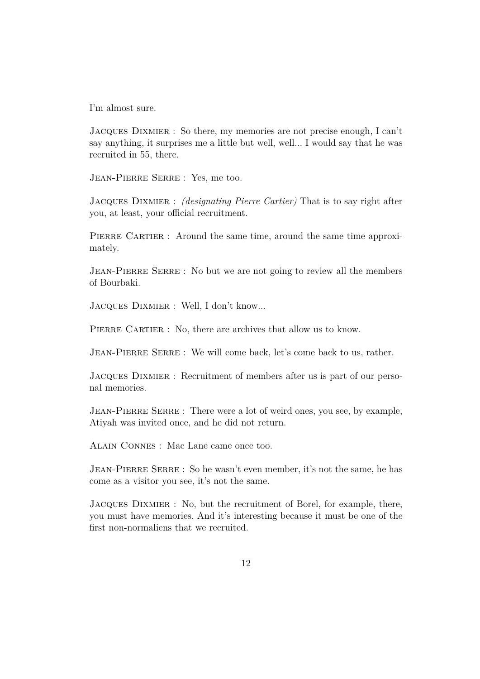I'm almost sure.

Jacques Dixmier : So there, my memories are not precise enough, I can't say anything, it surprises me a little but well, well... I would say that he was recruited in 55, there.

Jean-Pierre Serre : Yes, me too.

Jacques Dixmier : *(designating Pierre Cartier)* That is to say right after you, at least, your official recruitment.

PIERRE CARTIER : Around the same time, around the same time approximately.

JEAN-PIERRE SERRE : No but we are not going to review all the members of Bourbaki.

Jacques Dixmier : Well, I don't know...

PIERRE CARTIER : No, there are archives that allow us to know.

Jean-Pierre Serre : We will come back, let's come back to us, rather.

Jacques Dixmier : Recruitment of members after us is part of our personal memories.

JEAN-PIERRE SERRE : There were a lot of weird ones, you see, by example, Atiyah was invited once, and he did not return.

Alain Connes : Mac Lane came once too.

JEAN-PIERRE SERRE : So he wasn't even member, it's not the same, he has come as a visitor you see, it's not the same.

Jacques Dixmier : No, but the recruitment of Borel, for example, there, you must have memories. And it's interesting because it must be one of the first non-normaliens that we recruited.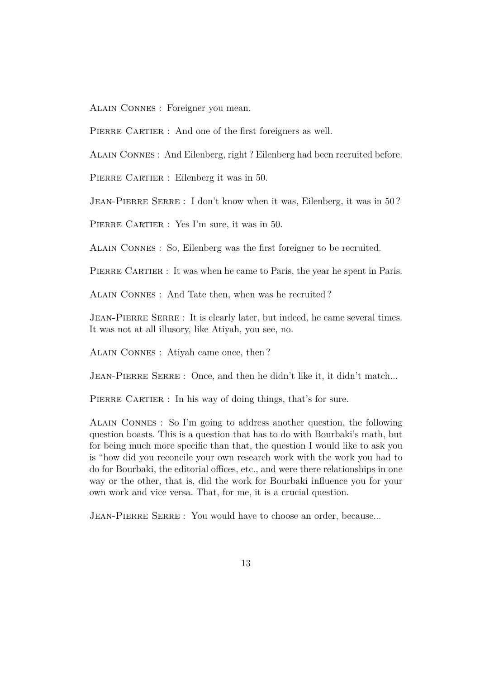Alain Connes : Foreigner you mean.

PIERRE CARTIER : And one of the first foreigners as well.

Alain Connes : And Eilenberg, right ? Eilenberg had been recruited before.

PIERRE CARTIER : Eilenberg it was in 50.

JEAN-PIERRE SERRE : I don't know when it was, Eilenberg, it was in 50?

PIERRE CARTIER : Yes I'm sure, it was in 50.

Alain Connes : So, Eilenberg was the first foreigner to be recruited.

PIERRE CARTIER : It was when he came to Paris, the year he spent in Paris.

Alain Connes : And Tate then, when was he recruited ?

JEAN-PIERRE SERRE : It is clearly later, but indeed, he came several times. It was not at all illusory, like Atiyah, you see, no.

Alain Connes : Atiyah came once, then ?

JEAN-PIERRE SERRE : Once, and then he didn't like it, it didn't match...

PIERRE CARTIER : In his way of doing things, that's for sure.

Alain Connes : So I'm going to address another question, the following question boasts. This is a question that has to do with Bourbaki's math, but for being much more specific than that, the question I would like to ask you is "how did you reconcile your own research work with the work you had to do for Bourbaki, the editorial offices, etc., and were there relationships in one way or the other, that is, did the work for Bourbaki influence you for your own work and vice versa. That, for me, it is a crucial question.

JEAN-PIERRE SERRE : You would have to choose an order, because...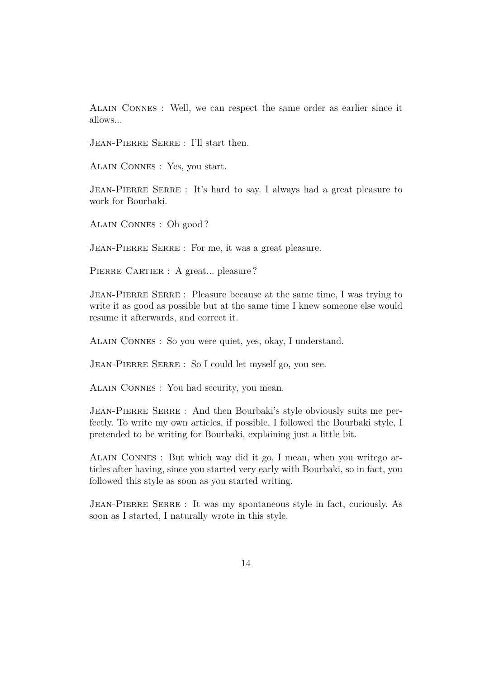Alain Connes : Well, we can respect the same order as earlier since it allows...

JEAN-PIERRE SERRE : I'll start then.

Alain Connes : Yes, you start.

JEAN-PIERRE SERRE : It's hard to say. I always had a great pleasure to work for Bourbaki.

Alain Connes : Oh good ?

JEAN-PIERRE SERRE : For me, it was a great pleasure.

PIERRE CARTIER : A great... pleasure?

Jean-Pierre Serre : Pleasure because at the same time, I was trying to write it as good as possible but at the same time I knew someone else would resume it afterwards, and correct it.

Alain Connes : So you were quiet, yes, okay, I understand.

Jean-Pierre Serre : So I could let myself go, you see.

Alain Connes : You had security, you mean.

Jean-Pierre Serre : And then Bourbaki's style obviously suits me perfectly. To write my own articles, if possible, I followed the Bourbaki style, I pretended to be writing for Bourbaki, explaining just a little bit.

Alain Connes : But which way did it go, I mean, when you writego articles after having, since you started very early with Bourbaki, so in fact, you followed this style as soon as you started writing.

Jean-Pierre Serre : It was my spontaneous style in fact, curiously. As soon as I started, I naturally wrote in this style.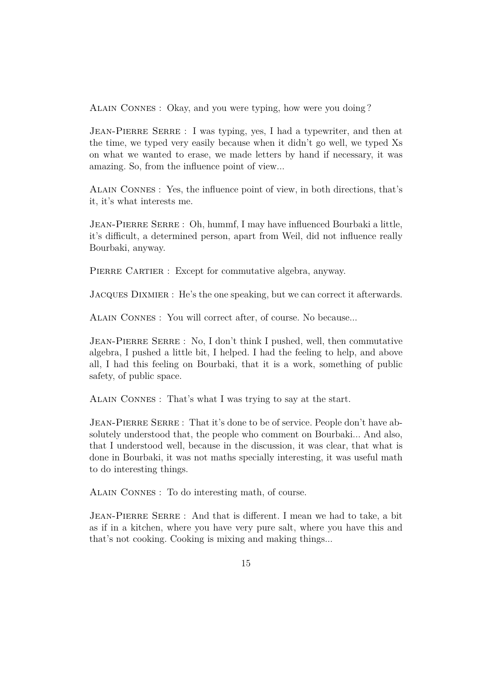Alain Connes : Okay, and you were typing, how were you doing ?

JEAN-PIERRE SERRE : I was typing, yes, I had a typewriter, and then at the time, we typed very easily because when it didn't go well, we typed Xs on what we wanted to erase, we made letters by hand if necessary, it was amazing. So, from the influence point of view...

Alain Connes : Yes, the influence point of view, in both directions, that's it, it's what interests me.

JEAN-PIERRE SERRE : Oh, hummf, I may have influenced Bourbaki a little, it's difficult, a determined person, apart from Weil, did not influence really Bourbaki, anyway.

PIERRE CARTIER : Except for commutative algebra, anyway.

Jacques Dixmier : He's the one speaking, but we can correct it afterwards.

Alain Connes : You will correct after, of course. No because...

JEAN-PIERRE SERRE : No, I don't think I pushed, well, then commutative algebra, I pushed a little bit, I helped. I had the feeling to help, and above all, I had this feeling on Bourbaki, that it is a work, something of public safety, of public space.

Alain Connes : That's what I was trying to say at the start.

JEAN-PIERRE SERRE : That it's done to be of service. People don't have absolutely understood that, the people who comment on Bourbaki... And also, that I understood well, because in the discussion, it was clear, that what is done in Bourbaki, it was not maths specially interesting, it was useful math to do interesting things.

Alain Connes : To do interesting math, of course.

JEAN-PIERRE SERRE : And that is different. I mean we had to take, a bit as if in a kitchen, where you have very pure salt, where you have this and that's not cooking. Cooking is mixing and making things...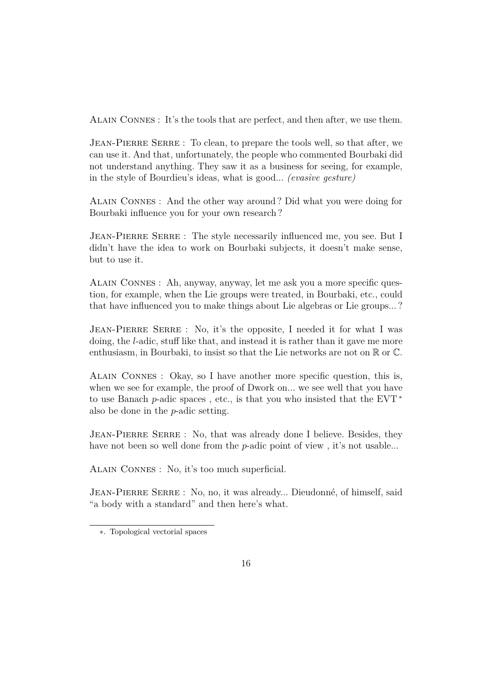Alain Connes : It's the tools that are perfect, and then after, we use them.

JEAN-PIERRE SERRE : To clean, to prepare the tools well, so that after, we can use it. And that, unfortunately, the people who commented Bourbaki did not understand anything. They saw it as a business for seeing, for example, in the style of Bourdieu's ideas, what is good... *(evasive gesture)*

Alain Connes : And the other way around ? Did what you were doing for Bourbaki influence you for your own research ?

Jean-Pierre Serre : The style necessarily influenced me, you see. But I didn't have the idea to work on Bourbaki subjects, it doesn't make sense, but to use it.

Alain Connes : Ah, anyway, anyway, let me ask you a more specific question, for example, when the Lie groups were treated, in Bourbaki, etc., could that have influenced you to make things about Lie algebras or Lie groups... ?

JEAN-PIERRE SERRE : No, it's the opposite, I needed it for what I was doing, the *l*-adic, stuff like that, and instead it is rather than it gave me more enthusiasm, in Bourbaki, to insist so that the Lie networks are not on  $\mathbb R$  or  $\mathbb C$ .

Alain Connes : Okay, so I have another more specific question, this is, when we see for example, the proof of Dwork on... we see well that you have to use Banach *p*-adic spaces , etc., is that you who insisted that the EVT <sup>∗</sup> also be done in the *p*-adic setting.

JEAN-PIERRE SERRE : No, that was already done I believe. Besides, they have not been so well done from the *p*-adic point of view, it's not usable...

Alain Connes : No, it's too much superficial.

JEAN-PIERRE SERRE : No, no, it was already... Dieudonné, of himself, said "a body with a standard" and then here's what.

<sup>∗</sup>. Topological vectorial spaces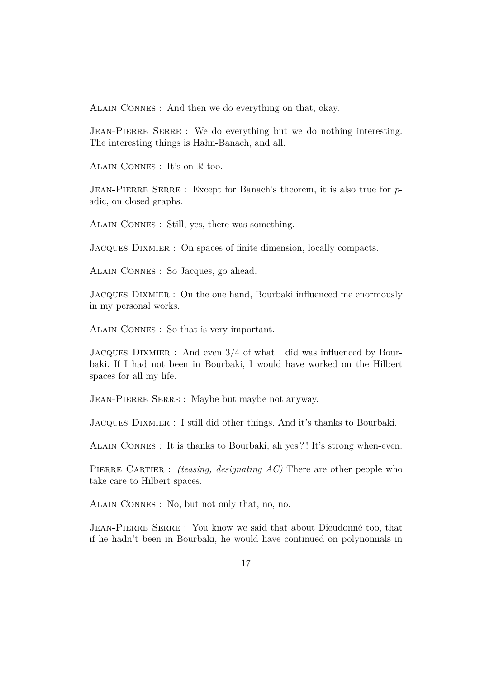Alain Connes : And then we do everything on that, okay.

JEAN-PIERRE SERRE : We do everything but we do nothing interesting. The interesting things is Hahn-Banach, and all.

Alain Connes : It's on R too.

Jean-Pierre Serre : Except for Banach's theorem, it is also true for *p*adic, on closed graphs.

Alain Connes : Still, yes, there was something.

Jacques Dixmier : On spaces of finite dimension, locally compacts.

Alain Connes : So Jacques, go ahead.

Jacques Dixmier : On the one hand, Bourbaki influenced me enormously in my personal works.

Alain Connes : So that is very important.

Jacques Dixmier : And even 3/4 of what I did was influenced by Bourbaki. If I had not been in Bourbaki, I would have worked on the Hilbert spaces for all my life.

Jean-Pierre Serre : Maybe but maybe not anyway.

Jacques Dixmier : I still did other things. And it's thanks to Bourbaki.

Alain Connes : It is thanks to Bourbaki, ah yes ? ! It's strong when-even.

PIERRE CARTIER : *(teasing, designating AC)* There are other people who take care to Hilbert spaces.

Alain Connes : No, but not only that, no, no.

Jean-Pierre Serre : You know we said that about Dieudonné too, that if he hadn't been in Bourbaki, he would have continued on polynomials in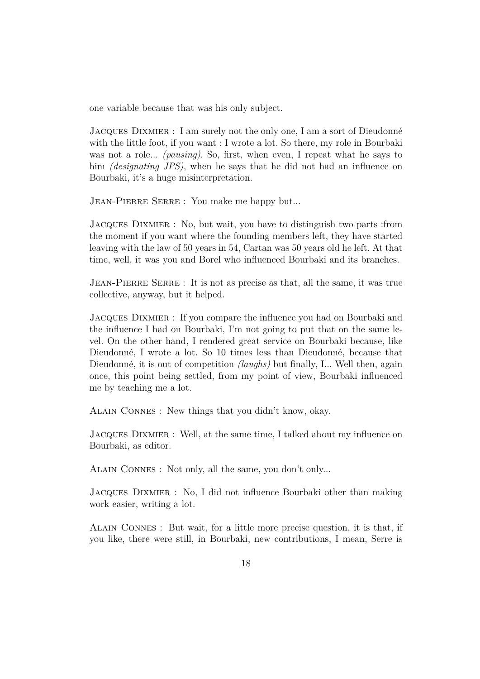one variable because that was his only subject.

Jacques Dixmier : I am surely not the only one, I am a sort of Dieudonné with the little foot, if you want : I wrote a lot. So there, my role in Bourbaki was not a role... *(pausing)*. So, first, when even, I repeat what he says to him *(designating JPS)*, when he says that he did not had an influence on Bourbaki, it's a huge misinterpretation.

JEAN-PIERRE SERRE : You make me happy but...

Jacques Dixmier : No, but wait, you have to distinguish two parts :from the moment if you want where the founding members left, they have started leaving with the law of 50 years in 54, Cartan was 50 years old he left. At that time, well, it was you and Borel who influenced Bourbaki and its branches.

JEAN-PIERRE SERRE : It is not as precise as that, all the same, it was true collective, anyway, but it helped.

Jacques Dixmier : If you compare the influence you had on Bourbaki and the influence I had on Bourbaki, I'm not going to put that on the same level. On the other hand, I rendered great service on Bourbaki because, like Dieudonné, I wrote a lot. So 10 times less than Dieudonné, because that Dieudonné, it is out of competition *(laughs)* but finally, I... Well then, again once, this point being settled, from my point of view, Bourbaki influenced me by teaching me a lot.

Alain Connes : New things that you didn't know, okay.

Jacques Dixmier : Well, at the same time, I talked about my influence on Bourbaki, as editor.

Alain Connes : Not only, all the same, you don't only...

Jacques Dixmier : No, I did not influence Bourbaki other than making work easier, writing a lot.

Alain Connes : But wait, for a little more precise question, it is that, if you like, there were still, in Bourbaki, new contributions, I mean, Serre is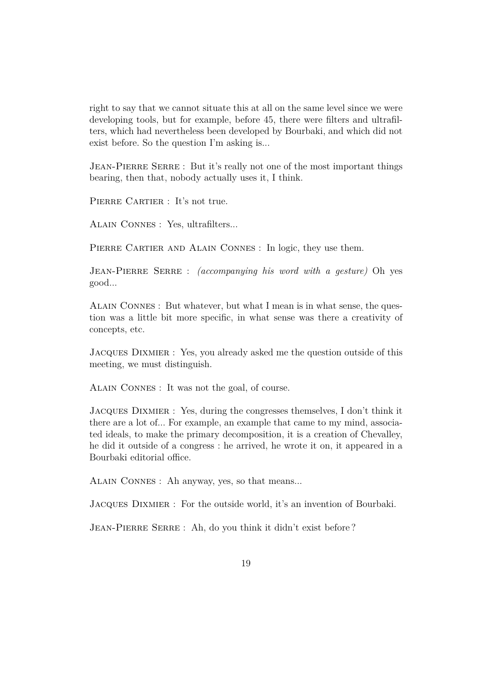right to say that we cannot situate this at all on the same level since we were developing tools, but for example, before 45, there were filters and ultrafilters, which had nevertheless been developed by Bourbaki, and which did not exist before. So the question I'm asking is...

JEAN-PIERRE SERRE : But it's really not one of the most important things bearing, then that, nobody actually uses it, I think.

PIERRE CARTIER : It's not true.

Alain Connes : Yes, ultrafilters...

PIERRE CARTIER AND ALAIN CONNES : In logic, they use them.

Jean-Pierre Serre : *(accompanying his word with a gesture)* Oh yes good...

Alain Connes : But whatever, but what I mean is in what sense, the question was a little bit more specific, in what sense was there a creativity of concepts, etc.

Jacques Dixmier : Yes, you already asked me the question outside of this meeting, we must distinguish.

Alain Connes : It was not the goal, of course.

Jacques Dixmier : Yes, during the congresses themselves, I don't think it there are a lot of... For example, an example that came to my mind, associated ideals, to make the primary decomposition, it is a creation of Chevalley, he did it outside of a congress : he arrived, he wrote it on, it appeared in a Bourbaki editorial office.

Alain Connes : Ah anyway, yes, so that means...

Jacques Dixmier : For the outside world, it's an invention of Bourbaki.

JEAN-PIERRE SERRE : Ah, do you think it didn't exist before?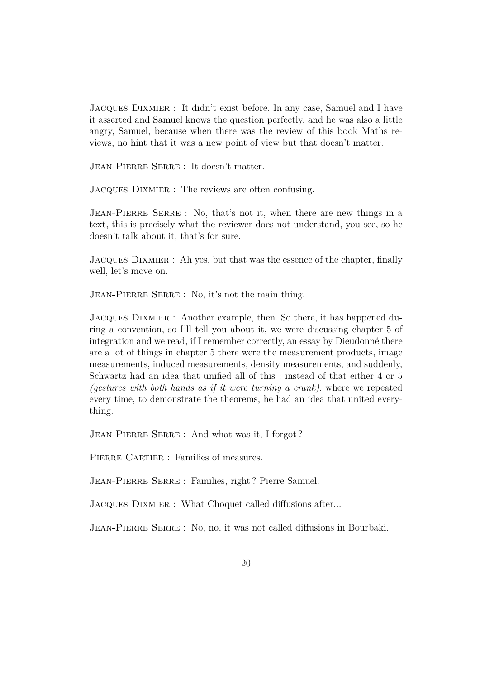Jacques Dixmier : It didn't exist before. In any case, Samuel and I have it asserted and Samuel knows the question perfectly, and he was also a little angry, Samuel, because when there was the review of this book Maths reviews, no hint that it was a new point of view but that doesn't matter.

JEAN-PIERRE SERRE : It doesn't matter.

Jacques Dixmier : The reviews are often confusing.

JEAN-PIERRE SERRE : No, that's not it, when there are new things in a text, this is precisely what the reviewer does not understand, you see, so he doesn't talk about it, that's for sure.

Jacques Dixmier : Ah yes, but that was the essence of the chapter, finally well, let's move on.

JEAN-PIERRE SERRE : No, it's not the main thing.

Jacques Dixmier : Another example, then. So there, it has happened during a convention, so I'll tell you about it, we were discussing chapter 5 of integration and we read, if I remember correctly, an essay by Dieudonné there are a lot of things in chapter 5 there were the measurement products, image measurements, induced measurements, density measurements, and suddenly, Schwartz had an idea that unified all of this : instead of that either 4 or 5 *(gestures with both hands as if it were turning a crank)*, where we repeated every time, to demonstrate the theorems, he had an idea that united everything.

JEAN-PIERRE SERRE : And what was it, I forgot?

PIERRE CARTIER : Families of measures.

Jean-Pierre Serre : Families, right ? Pierre Samuel.

Jacques Dixmier : What Choquet called diffusions after...

Jean-Pierre Serre : No, no, it was not called diffusions in Bourbaki.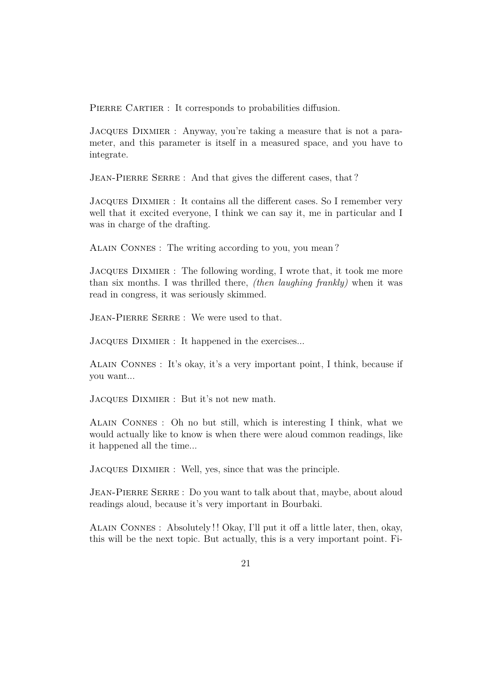PIERRE CARTIER : It corresponds to probabilities diffusion.

Jacques Dixmier : Anyway, you're taking a measure that is not a parameter, and this parameter is itself in a measured space, and you have to integrate.

JEAN-PIERRE SERRE : And that gives the different cases, that?

Jacques Dixmier : It contains all the different cases. So I remember very well that it excited everyone, I think we can say it, me in particular and I was in charge of the drafting.

Alain Connes : The writing according to you, you mean ?

Jacques Dixmier : The following wording, I wrote that, it took me more than six months. I was thrilled there, *(then laughing frankly)* when it was read in congress, it was seriously skimmed.

JEAN-PIERRE SERRE : We were used to that.

JACQUES DIXMIER : It happened in the exercises...

Alain Connes : It's okay, it's a very important point, I think, because if you want...

Jacques Dixmier : But it's not new math.

Alain Connes : Oh no but still, which is interesting I think, what we would actually like to know is when there were aloud common readings, like it happened all the time...

Jacques Dixmier : Well, yes, since that was the principle.

Jean-Pierre Serre : Do you want to talk about that, maybe, about aloud readings aloud, because it's very important in Bourbaki.

Alain Connes : Absolutely ! ! Okay, I'll put it off a little later, then, okay, this will be the next topic. But actually, this is a very important point. Fi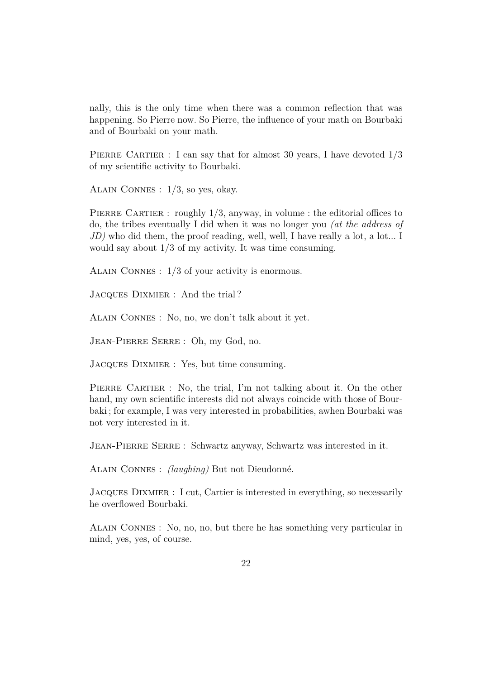nally, this is the only time when there was a common reflection that was happening. So Pierre now. So Pierre, the influence of your math on Bourbaki and of Bourbaki on your math.

PIERRE CARTIER : I can say that for almost 30 years, I have devoted  $1/3$ of my scientific activity to Bourbaki.

Alain Connes : 1/3, so yes, okay.

PIERRE CARTIER : roughly  $1/3$ , anyway, in volume : the editorial offices to do, the tribes eventually I did when it was no longer you *(at the address of JD)* who did them, the proof reading, well, well, I have really a lot, a lot... I would say about 1/3 of my activity. It was time consuming.

Alain Connes : 1/3 of your activity is enormous.

Jacques Dixmier : And the trial ?

Alain Connes : No, no, we don't talk about it yet.

Jean-Pierre Serre : Oh, my God, no.

Jacques Dixmier : Yes, but time consuming.

PIERRE CARTIER : No, the trial, I'm not talking about it. On the other hand, my own scientific interests did not always coincide with those of Bourbaki ; for example, I was very interested in probabilities, awhen Bourbaki was not very interested in it.

JEAN-PIERRE SERRE : Schwartz anyway, Schwartz was interested in it.

Alain Connes : *(laughing)* But not Dieudonné.

Jacques Dixmier : I cut, Cartier is interested in everything, so necessarily he overflowed Bourbaki.

Alain Connes : No, no, no, but there he has something very particular in mind, yes, yes, of course.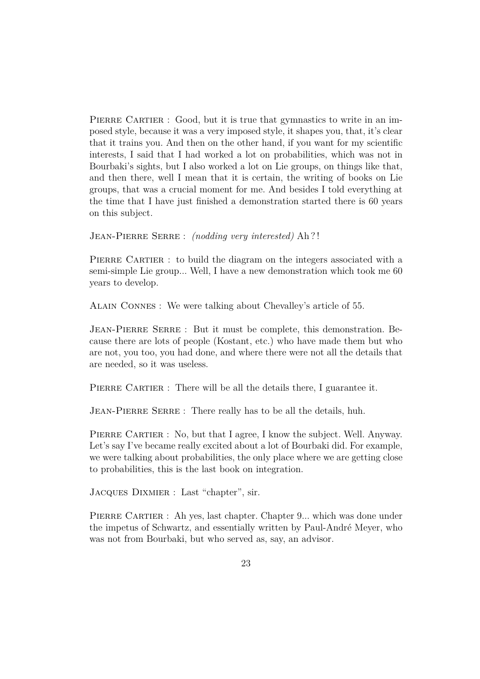PIERRE CARTIER : Good, but it is true that gymnastics to write in an imposed style, because it was a very imposed style, it shapes you, that, it's clear that it trains you. And then on the other hand, if you want for my scientific interests, I said that I had worked a lot on probabilities, which was not in Bourbaki's sights, but I also worked a lot on Lie groups, on things like that, and then there, well I mean that it is certain, the writing of books on Lie groups, that was a crucial moment for me. And besides I told everything at the time that I have just finished a demonstration started there is 60 years on this subject.

Jean-Pierre Serre : *(nodding very interested)* Ah ? !

PIERRE CARTIER : to build the diagram on the integers associated with a semi-simple Lie group... Well, I have a new demonstration which took me 60 years to develop.

Alain Connes : We were talking about Chevalley's article of 55.

JEAN-PIERRE SERRE : But it must be complete, this demonstration. Because there are lots of people (Kostant, etc.) who have made them but who are not, you too, you had done, and where there were not all the details that are needed, so it was useless.

PIERRE CARTIER : There will be all the details there, I guarantee it.

JEAN-PIERRE SERRE : There really has to be all the details, huh.

PIERRE CARTIER : No, but that I agree, I know the subject. Well. Anyway. Let's say I've became really excited about a lot of Bourbaki did. For example, we were talking about probabilities, the only place where we are getting close to probabilities, this is the last book on integration.

Jacques Dixmier : Last "chapter", sir.

PIERRE CARTIER : Ah yes, last chapter. Chapter 9... which was done under the impetus of Schwartz, and essentially written by Paul-André Meyer, who was not from Bourbaki, but who served as, say, an advisor.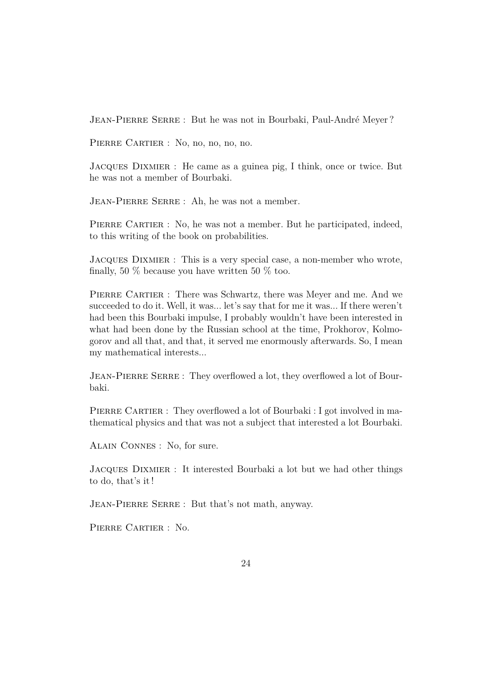Jean-Pierre Serre : But he was not in Bourbaki, Paul-André Meyer ?

PIERRE CARTIER : No, no, no, no, no.

Jacques Dixmier : He came as a guinea pig, I think, once or twice. But he was not a member of Bourbaki.

JEAN-PIERRE SERRE : Ah, he was not a member.

PIERRE CARTIER : No, he was not a member. But he participated, indeed, to this writing of the book on probabilities.

Jacques Dixmier : This is a very special case, a non-member who wrote, finally, 50  $\%$  because you have written 50  $\%$  too.

PIERRE CARTIER : There was Schwartz, there was Meyer and me. And we succeeded to do it. Well, it was... let's say that for me it was... If there weren't had been this Bourbaki impulse, I probably wouldn't have been interested in what had been done by the Russian school at the time, Prokhorov, Kolmogorov and all that, and that, it served me enormously afterwards. So, I mean my mathematical interests...

JEAN-PIERRE SERRE : They overflowed a lot, they overflowed a lot of Bourbaki.

PIERRE CARTIER : They overflowed a lot of Bourbaki : I got involved in mathematical physics and that was not a subject that interested a lot Bourbaki.

Alain Connes : No, for sure.

Jacques Dixmier : It interested Bourbaki a lot but we had other things to do, that's it !

JEAN-PIERRE SERRE : But that's not math, anyway.

Pierre Cartier : No.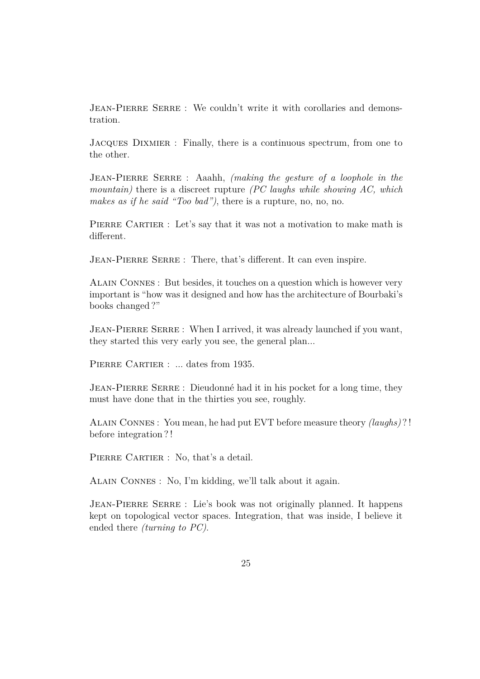JEAN-PIERRE SERRE : We couldn't write it with corollaries and demonstration.

Jacques Dixmier : Finally, there is a continuous spectrum, from one to the other.

Jean-Pierre Serre : Aaahh, *(making the gesture of a loophole in the mountain)* there is a discreet rupture *(PC laughs while showing AC, which makes as if he said "Too bad")*, there is a rupture, no, no, no.

PIERRE CARTIER : Let's say that it was not a motivation to make math is different.

JEAN-PIERRE SERRE : There, that's different. It can even inspire.

Alain Connes : But besides, it touches on a question which is however very important is "how was it designed and how has the architecture of Bourbaki's books changed ?"

JEAN-PIERRE SERRE : When I arrived, it was already launched if you want, they started this very early you see, the general plan...

PIERRE CARTIER : ... dates from 1935.

JEAN-PIERRE SERRE : Dieudonné had it in his pocket for a long time, they must have done that in the thirties you see, roughly.

Alain Connes : You mean, he had put EVT before measure theory *(laughs)* ? ! before integration ? !

PIERRE CARTIER : No, that's a detail.

Alain Connes : No, I'm kidding, we'll talk about it again.

Jean-Pierre Serre : Lie's book was not originally planned. It happens kept on topological vector spaces. Integration, that was inside, I believe it ended there *(turning to PC)*.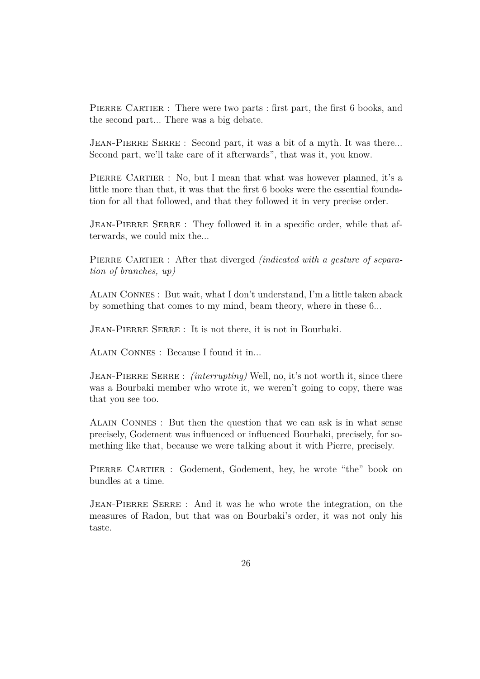PIERRE CARTIER : There were two parts : first part, the first 6 books, and the second part... There was a big debate.

JEAN-PIERRE SERRE : Second part, it was a bit of a myth. It was there... Second part, we'll take care of it afterwards", that was it, you know.

PIERRE CARTIER : No, but I mean that what was however planned, it's a little more than that, it was that the first 6 books were the essential foundation for all that followed, and that they followed it in very precise order.

JEAN-PIERRE SERRE : They followed it in a specific order, while that afterwards, we could mix the...

PIERRE CARTIER : After that diverged *(indicated with a gesture of separation of branches, up)*

Alain Connes : But wait, what I don't understand, I'm a little taken aback by something that comes to my mind, beam theory, where in these 6...

JEAN-PIERRE SERRE : It is not there, it is not in Bourbaki.

Alain Connes : Because I found it in...

JEAN-PIERRE SERRE : *(interrupting)* Well, no, it's not worth it, since there was a Bourbaki member who wrote it, we weren't going to copy, there was that you see too.

Alain Connes : But then the question that we can ask is in what sense precisely, Godement was influenced or influenced Bourbaki, precisely, for something like that, because we were talking about it with Pierre, precisely.

PIERRE CARTIER : Godement, Godement, hey, he wrote "the" book on bundles at a time.

Jean-Pierre Serre : And it was he who wrote the integration, on the measures of Radon, but that was on Bourbaki's order, it was not only his taste.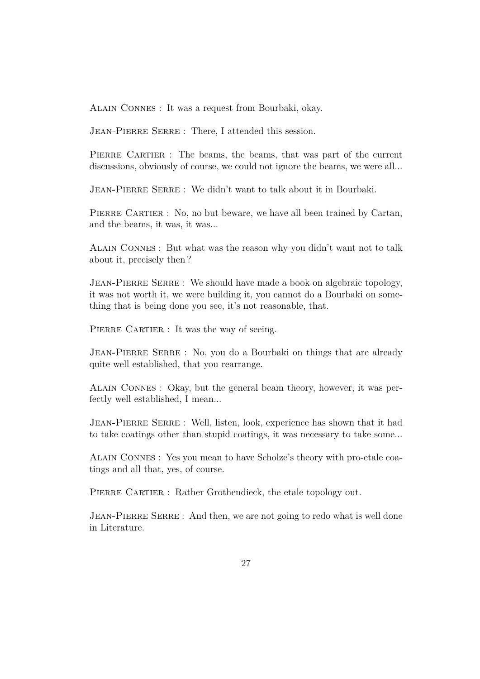Alain Connes : It was a request from Bourbaki, okay.

JEAN-PIERRE SERRE : There, I attended this session.

PIERRE CARTIER : The beams, the beams, that was part of the current discussions, obviously of course, we could not ignore the beams, we were all...

JEAN-PIERRE SERRE : We didn't want to talk about it in Bourbaki.

PIERRE CARTIER : No, no but beware, we have all been trained by Cartan, and the beams, it was, it was...

Alain Connes : But what was the reason why you didn't want not to talk about it, precisely then ?

JEAN-PIERRE SERRE : We should have made a book on algebraic topology, it was not worth it, we were building it, you cannot do a Bourbaki on something that is being done you see, it's not reasonable, that.

PIERRE CARTIER : It was the way of seeing.

JEAN-PIERRE SERRE : No, you do a Bourbaki on things that are already quite well established, that you rearrange.

Alain Connes : Okay, but the general beam theory, however, it was perfectly well established, I mean...

JEAN-PIERRE SERRE : Well, listen, look, experience has shown that it had to take coatings other than stupid coatings, it was necessary to take some...

Alain Connes : Yes you mean to have Scholze's theory with pro-etale coatings and all that, yes, of course.

PIERRE CARTIER : Rather Grothendieck, the etale topology out.

JEAN-PIERRE SERRE : And then, we are not going to redo what is well done in Literature.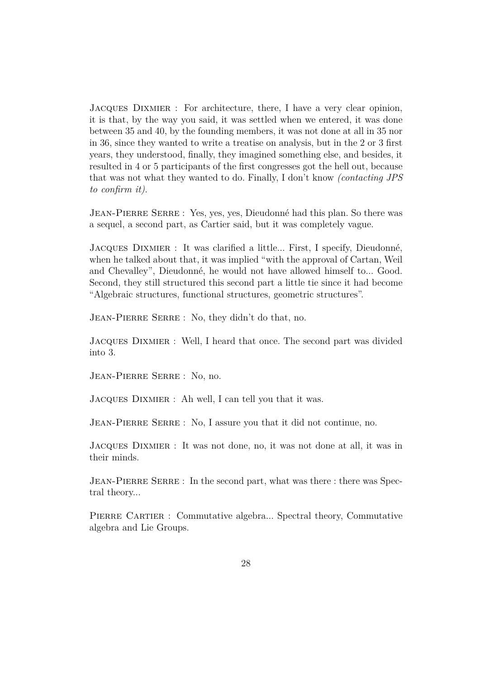Jacques Dixmier : For architecture, there, I have a very clear opinion, it is that, by the way you said, it was settled when we entered, it was done between 35 and 40, by the founding members, it was not done at all in 35 nor in 36, since they wanted to write a treatise on analysis, but in the 2 or 3 first years, they understood, finally, they imagined something else, and besides, it resulted in 4 or 5 participants of the first congresses got the hell out, because that was not what they wanted to do. Finally, I don't know *(contacting JPS to confirm it)*.

Jean-Pierre Serre : Yes, yes, yes, Dieudonné had this plan. So there was a sequel, a second part, as Cartier said, but it was completely vague.

Jacques Dixmier : It was clarified a little... First, I specify, Dieudonné, when he talked about that, it was implied "with the approval of Cartan, Weil and Chevalley", Dieudonné, he would not have allowed himself to... Good. Second, they still structured this second part a little tie since it had become "Algebraic structures, functional structures, geometric structures".

JEAN-PIERRE SERRE : No, they didn't do that, no.

Jacques Dixmier : Well, I heard that once. The second part was divided into 3.

Jean-Pierre Serre : No, no.

Jacques Dixmier : Ah well, I can tell you that it was.

JEAN-PIERRE SERRE : No, I assure you that it did not continue, no.

Jacques Dixmier : It was not done, no, it was not done at all, it was in their minds.

JEAN-PIERRE SERRE : In the second part, what was there : there was Spectral theory...

PIERRE CARTIER : Commutative algebra... Spectral theory, Commutative algebra and Lie Groups.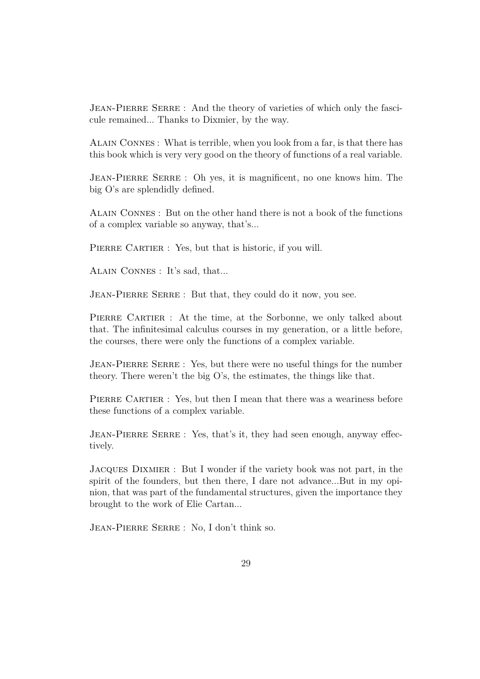JEAN-PIERRE SERRE : And the theory of varieties of which only the fascicule remained... Thanks to Dixmier, by the way.

Alain Connes : What is terrible, when you look from a far, is that there has this book which is very very good on the theory of functions of a real variable.

Jean-Pierre Serre : Oh yes, it is magnificent, no one knows him. The big O's are splendidly defined.

Alain Connes : But on the other hand there is not a book of the functions of a complex variable so anyway, that's...

PIERRE CARTIER : Yes, but that is historic, if you will.

Alain Connes : It's sad, that...

JEAN-PIERRE SERRE : But that, they could do it now, you see.

PIERRE CARTIER : At the time, at the Sorbonne, we only talked about that. The infinitesimal calculus courses in my generation, or a little before, the courses, there were only the functions of a complex variable.

JEAN-PIERRE SERRE : Yes, but there were no useful things for the number theory. There weren't the big O's, the estimates, the things like that.

PIERRE CARTIER : Yes, but then I mean that there was a weariness before these functions of a complex variable.

JEAN-PIERRE SERRE : Yes, that's it, they had seen enough, anyway effectively.

Jacques Dixmier : But I wonder if the variety book was not part, in the spirit of the founders, but then there, I dare not advance...But in my opinion, that was part of the fundamental structures, given the importance they brought to the work of Elie Cartan...

Jean-Pierre Serre : No, I don't think so.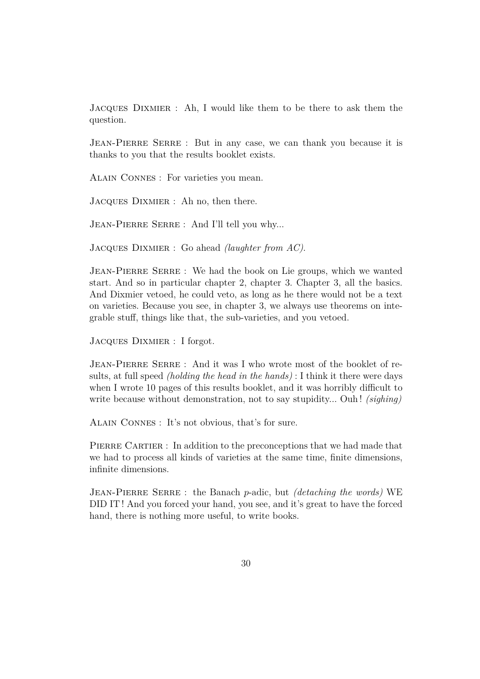Jacques Dixmier : Ah, I would like them to be there to ask them the question.

JEAN-PIERRE SERRE : But in any case, we can thank you because it is thanks to you that the results booklet exists.

Alain Connes : For varieties you mean.

Jacques Dixmier : Ah no, then there.

JEAN-PIERRE SERRE : And I'll tell you why...

Jacques Dixmier : Go ahead *(laughter from AC)*.

JEAN-PIERRE SERRE : We had the book on Lie groups, which we wanted start. And so in particular chapter 2, chapter 3. Chapter 3, all the basics. And Dixmier vetoed, he could veto, as long as he there would not be a text on varieties. Because you see, in chapter 3, we always use theorems on integrable stuff, things like that, the sub-varieties, and you vetoed.

Jacques Dixmier : I forgot.

JEAN-PIERRE SERRE : And it was I who wrote most of the booklet of results, at full speed *(holding the head in the hands)* : I think it there were days when I wrote 10 pages of this results booklet, and it was horribly difficult to write because without demonstration, not to say stupidity... Ouh ! *(sighing)*

Alain Connes : It's not obvious, that's for sure.

PIERRE CARTIER : In addition to the preconceptions that we had made that we had to process all kinds of varieties at the same time, finite dimensions, infinite dimensions.

Jean-Pierre Serre : the Banach *p*-adic, but *(detaching the words)* WE DID IT ! And you forced your hand, you see, and it's great to have the forced hand, there is nothing more useful, to write books.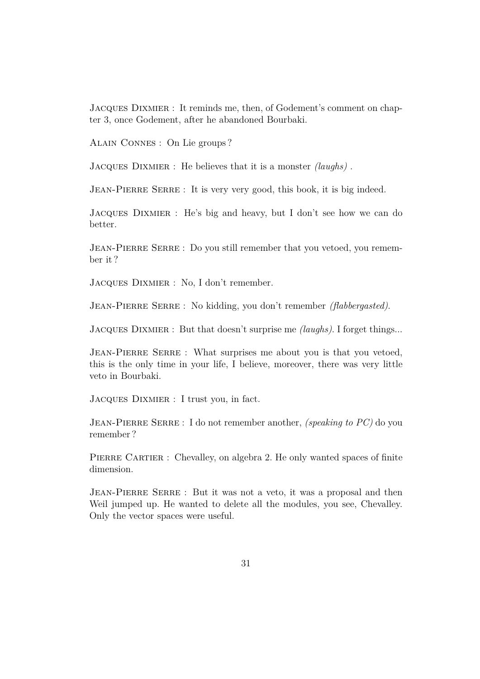Jacques Dixmier : It reminds me, then, of Godement's comment on chapter 3, once Godement, after he abandoned Bourbaki.

Alain Connes : On Lie groups ?

Jacques Dixmier : He believes that it is a monster *(laughs)* .

JEAN-PIERRE SERRE : It is very very good, this book, it is big indeed.

Jacques Dixmier : He's big and heavy, but I don't see how we can do better.

JEAN-PIERRE SERRE : Do you still remember that you vetoed, you remember it ?

Jacques Dixmier : No, I don't remember.

JEAN-PIERRE SERRE : No kidding, you don't remember *(flabbergasted)*.

Jacques Dixmier : But that doesn't surprise me *(laughs)*. I forget things...

JEAN-PIERRE SERRE : What surprises me about you is that you vetoed, this is the only time in your life, I believe, moreover, there was very little veto in Bourbaki.

Jacques Dixmier : I trust you, in fact.

JEAN-PIERRE SERRE : I do not remember another, *(speaking to PC)* do you remember ?

PIERRE CARTIER : Chevalley, on algebra 2. He only wanted spaces of finite dimension.

JEAN-PIERRE SERRE : But it was not a veto, it was a proposal and then Weil jumped up. He wanted to delete all the modules, you see, Chevalley. Only the vector spaces were useful.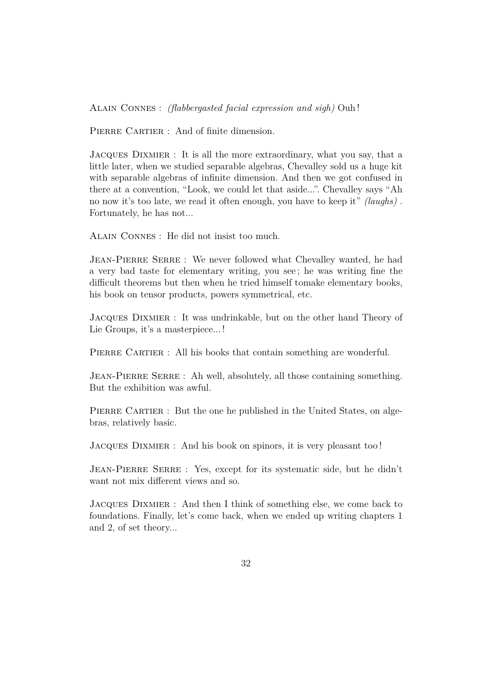Alain Connes : *(flabbergasted facial expression and sigh)* Ouh !

PIERRE CARTIER : And of finite dimension.

Jacques Dixmier : It is all the more extraordinary, what you say, that a little later, when we studied separable algebras, Chevalley sold us a huge kit with separable algebras of infinite dimension. And then we got confused in there at a convention, "Look, we could let that aside...". Chevalley says "Ah no now it's too late, we read it often enough, you have to keep it" *(laughs)* . Fortunately, he has not...

Alain Connes : He did not insist too much.

JEAN-PIERRE SERRE : We never followed what Chevalley wanted, he had a very bad taste for elementary writing, you see ; he was writing fine the difficult theorems but then when he tried himself tomake elementary books, his book on tensor products, powers symmetrical, etc.

Jacques Dixmier : It was undrinkable, but on the other hand Theory of Lie Groups, it's a masterpiece...!

PIERRE CARTIER : All his books that contain something are wonderful.

JEAN-PIERRE SERRE : Ah well, absolutely, all those containing something. But the exhibition was awful.

PIERRE CARTIER : But the one he published in the United States, on algebras, relatively basic.

Jacques Dixmier : And his book on spinors, it is very pleasant too !

JEAN-PIERRE SERRE : Yes, except for its systematic side, but he didn't want not mix different views and so.

Jacques Dixmier : And then I think of something else, we come back to foundations. Finally, let's come back, when we ended up writing chapters 1 and 2, of set theory...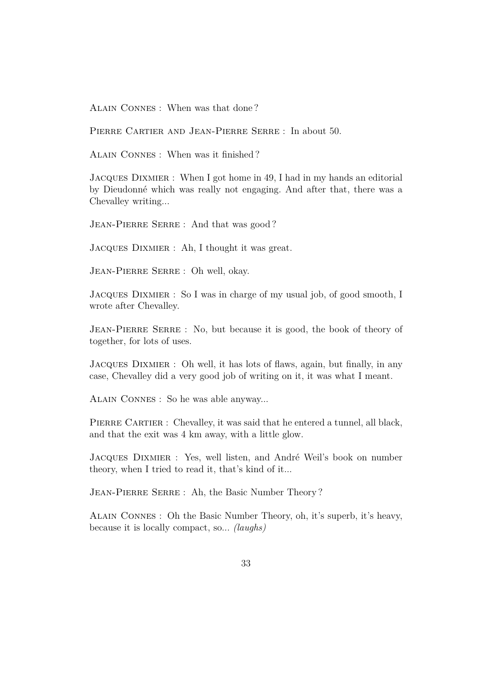Alain Connes : When was that done ?

Pierre Cartier and Jean-Pierre Serre : In about 50.

Alain Connes : When was it finished ?

Jacques Dixmier : When I got home in 49, I had in my hands an editorial by Dieudonné which was really not engaging. And after that, there was a Chevalley writing...

JEAN-PIERRE SERRE : And that was good?

Jacques Dixmier : Ah, I thought it was great.

Jean-Pierre Serre : Oh well, okay.

Jacques Dixmier : So I was in charge of my usual job, of good smooth, I wrote after Chevalley.

JEAN-PIERRE SERRE : No, but because it is good, the book of theory of together, for lots of uses.

Jacques Dixmier : Oh well, it has lots of flaws, again, but finally, in any case, Chevalley did a very good job of writing on it, it was what I meant.

Alain Connes : So he was able anyway...

PIERRE CARTIER : Chevalley, it was said that he entered a tunnel, all black, and that the exit was 4 km away, with a little glow.

Jacques Dixmier : Yes, well listen, and André Weil's book on number theory, when I tried to read it, that's kind of it...

JEAN-PIERRE SERRE : Ah, the Basic Number Theory?

Alain Connes : Oh the Basic Number Theory, oh, it's superb, it's heavy, because it is locally compact, so... *(laughs)*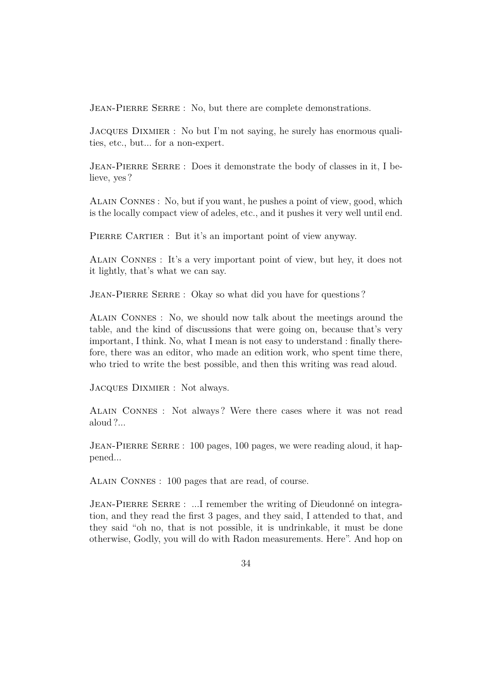JEAN-PIERRE SERRE : No, but there are complete demonstrations.

Jacques Dixmier : No but I'm not saying, he surely has enormous qualities, etc., but... for a non-expert.

Jean-Pierre Serre : Does it demonstrate the body of classes in it, I believe, yes ?

Alain Connes : No, but if you want, he pushes a point of view, good, which is the locally compact view of adeles, etc., and it pushes it very well until end.

PIERRE CARTIER : But it's an important point of view anyway.

Alain Connes : It's a very important point of view, but hey, it does not it lightly, that's what we can say.

JEAN-PIERRE SERRE : Okay so what did you have for questions?

Alain Connes : No, we should now talk about the meetings around the table, and the kind of discussions that were going on, because that's very important, I think. No, what I mean is not easy to understand : finally therefore, there was an editor, who made an edition work, who spent time there, who tried to write the best possible, and then this writing was read aloud.

Jacques Dixmier : Not always.

Alain Connes : Not always ? Were there cases where it was not read aloud ?...

Jean-Pierre Serre : 100 pages, 100 pages, we were reading aloud, it happened...

Alain Connes : 100 pages that are read, of course.

JEAN-PIERRE SERRE : ...I remember the writing of Dieudonné on integration, and they read the first 3 pages, and they said, I attended to that, and they said "oh no, that is not possible, it is undrinkable, it must be done otherwise, Godly, you will do with Radon measurements. Here". And hop on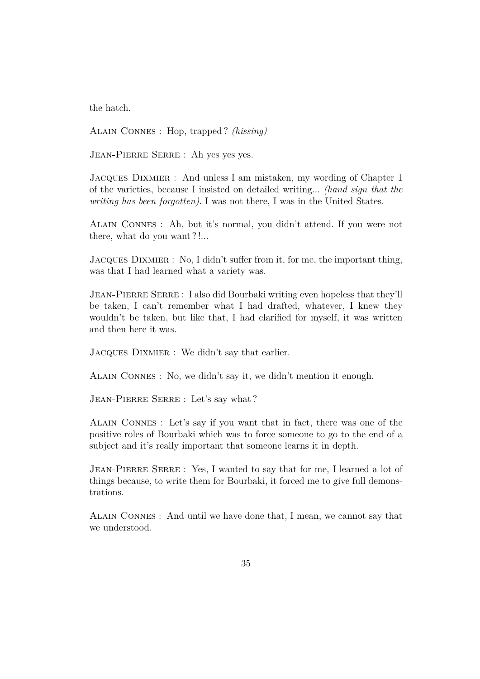the hatch.

Alain Connes : Hop, trapped ? *(hissing)*

Jean-Pierre Serre : Ah yes yes yes.

Jacques Dixmier : And unless I am mistaken, my wording of Chapter 1 of the varieties, because I insisted on detailed writing... *(hand sign that the writing has been forgotten)*. I was not there, I was in the United States.

Alain Connes : Ah, but it's normal, you didn't attend. If you were not there, what do you want ? !...

JACQUES DIXMIER : No, I didn't suffer from it, for me, the important thing, was that I had learned what a variety was.

JEAN-PIERRE SERRE : I also did Bourbaki writing even hopeless that they'll be taken, I can't remember what I had drafted, whatever, I knew they wouldn't be taken, but like that, I had clarified for myself, it was written and then here it was.

Jacques Dixmier : We didn't say that earlier.

Alain Connes : No, we didn't say it, we didn't mention it enough.

JEAN-PIERRE SERRE : Let's say what?

Alain Connes : Let's say if you want that in fact, there was one of the positive roles of Bourbaki which was to force someone to go to the end of a subject and it's really important that someone learns it in depth.

JEAN-PIERRE SERRE : Yes, I wanted to say that for me, I learned a lot of things because, to write them for Bourbaki, it forced me to give full demonstrations.

Alain Connes : And until we have done that, I mean, we cannot say that we understood.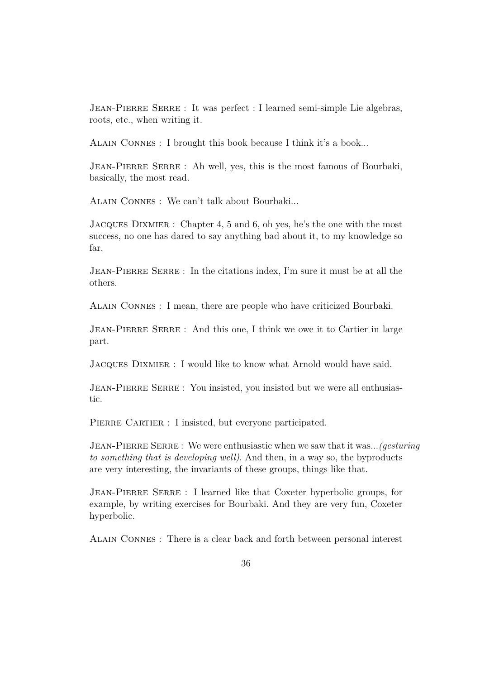Jean-Pierre Serre : It was perfect : I learned semi-simple Lie algebras, roots, etc., when writing it.

Alain Connes : I brought this book because I think it's a book...

JEAN-PIERRE SERRE : Ah well, yes, this is the most famous of Bourbaki, basically, the most read.

Alain Connes : We can't talk about Bourbaki...

Jacques Dixmier : Chapter 4, 5 and 6, oh yes, he's the one with the most success, no one has dared to say anything bad about it, to my knowledge so far.

JEAN-PIERRE SERRE : In the citations index, I'm sure it must be at all the others.

Alain Connes : I mean, there are people who have criticized Bourbaki.

JEAN-PIERRE SERRE : And this one, I think we owe it to Cartier in large part.

Jacques Dixmier : I would like to know what Arnold would have said.

JEAN-PIERRE SERRE : You insisted, you insisted but we were all enthusiastic.

PIERRE CARTIER : I insisted, but everyone participated.

Jean-Pierre Serre : We were enthusiastic when we saw that it was...*(gesturing to something that is developing well)*. And then, in a way so, the byproducts are very interesting, the invariants of these groups, things like that.

JEAN-PIERRE SERRE : I learned like that Coxeter hyperbolic groups, for example, by writing exercises for Bourbaki. And they are very fun, Coxeter hyperbolic.

Alain Connes : There is a clear back and forth between personal interest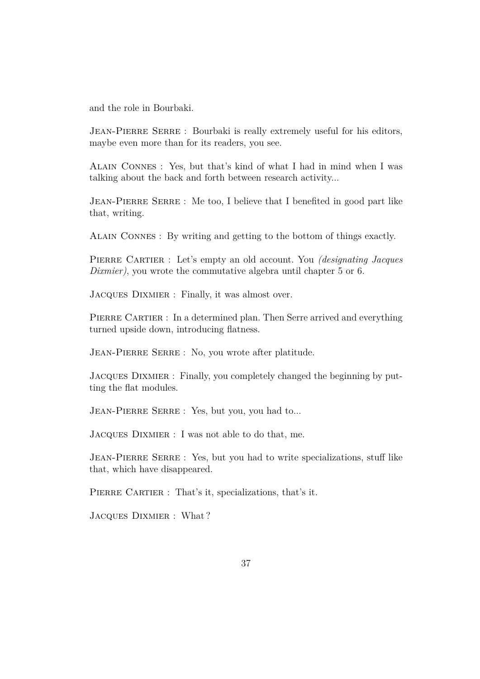and the role in Bourbaki.

JEAN-PIERRE SERRE : Bourbaki is really extremely useful for his editors, maybe even more than for its readers, you see.

Alain Connes : Yes, but that's kind of what I had in mind when I was talking about the back and forth between research activity...

JEAN-PIERRE SERRE : Me too, I believe that I benefited in good part like that, writing.

Alain Connes : By writing and getting to the bottom of things exactly.

PIERRE CARTIER : Let's empty an old account. You *(designating Jacques*) *Dixmier*), you wrote the commutative algebra until chapter 5 or 6.

Jacques Dixmier : Finally, it was almost over.

PIERRE CARTIER : In a determined plan. Then Serre arrived and everything turned upside down, introducing flatness.

JEAN-PIERRE SERRE : No, you wrote after platitude.

Jacques Dixmier : Finally, you completely changed the beginning by putting the flat modules.

JEAN-PIERRE SERRE : Yes, but you, you had to...

Jacques Dixmier : I was not able to do that, me.

JEAN-PIERRE SERRE : Yes, but you had to write specializations, stuff like that, which have disappeared.

PIERRE CARTIER : That's it, specializations, that's it.

Jacques Dixmier : What ?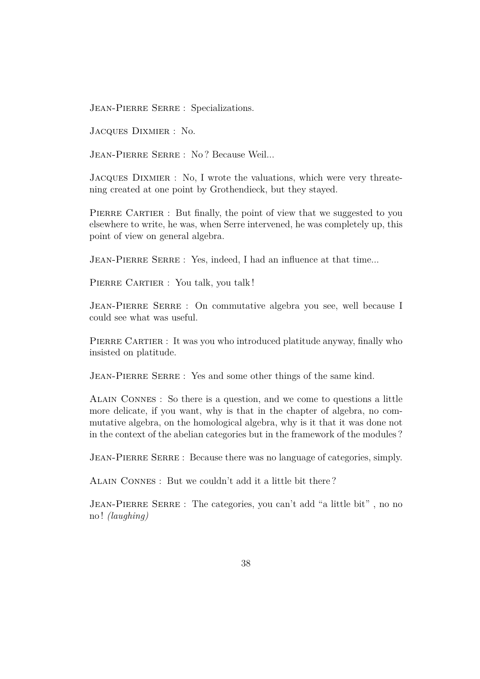JEAN-PIERRE SERRE : Specializations.

Jacques Dixmier : No.

Jean-Pierre Serre : No ? Because Weil...

Jacques Dixmier : No, I wrote the valuations, which were very threatening created at one point by Grothendieck, but they stayed.

PIERRE CARTIER : But finally, the point of view that we suggested to you elsewhere to write, he was, when Serre intervened, he was completely up, this point of view on general algebra.

JEAN-PIERRE SERRE : Yes, indeed, I had an influence at that time...

PIERRE CARTIER : You talk, you talk!

Jean-Pierre Serre : On commutative algebra you see, well because I could see what was useful.

PIERRE CARTIER : It was you who introduced platitude anyway, finally who insisted on platitude.

JEAN-PIERRE SERRE : Yes and some other things of the same kind.

Alain Connes : So there is a question, and we come to questions a little more delicate, if you want, why is that in the chapter of algebra, no commutative algebra, on the homological algebra, why is it that it was done not in the context of the abelian categories but in the framework of the modules ?

JEAN-PIERRE SERRE : Because there was no language of categories, simply.

Alain Connes : But we couldn't add it a little bit there ?

JEAN-PIERRE SERRE : The categories, you can't add "a little bit", no no no ! *(laughing)*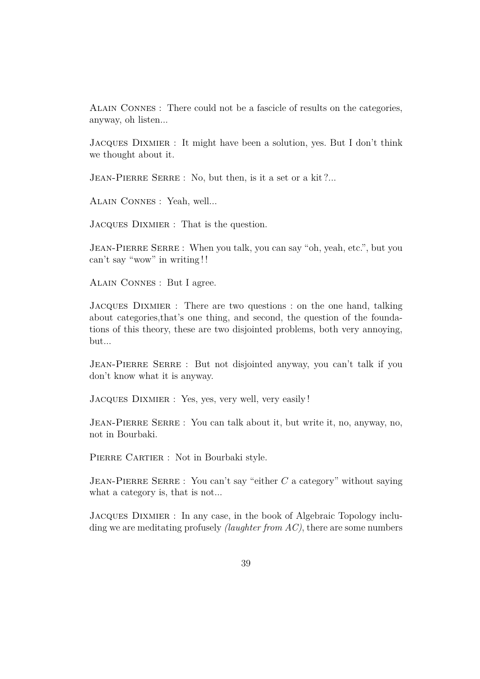Alain Connes : There could not be a fascicle of results on the categories, anyway, oh listen...

Jacques Dixmier : It might have been a solution, yes. But I don't think we thought about it.

JEAN-PIERRE SERRE : No, but then, is it a set or a kit ?...

Alain Connes : Yeah, well...

Jacques Dixmier : That is the question.

JEAN-PIERRE SERRE : When you talk, you can say "oh, yeah, etc.", but you can't say "wow" in writing!!

Alain Connes : But I agree.

Jacques Dixmier : There are two questions : on the one hand, talking about categories,that's one thing, and second, the question of the foundations of this theory, these are two disjointed problems, both very annoying, but...

JEAN-PIERRE SERRE : But not disjointed anyway, you can't talk if you don't know what it is anyway.

Jacques Dixmier : Yes, yes, very well, very easily !

JEAN-PIERRE SERRE : You can talk about it, but write it, no, anyway, no, not in Bourbaki.

PIERRE CARTIER : Not in Bourbaki style.

JEAN-PIERRE SERRE : You can't say "either *C* a category" without saying what a category is, that is not...

Jacques Dixmier : In any case, in the book of Algebraic Topology including we are meditating profusely *(laughter from AC)*, there are some numbers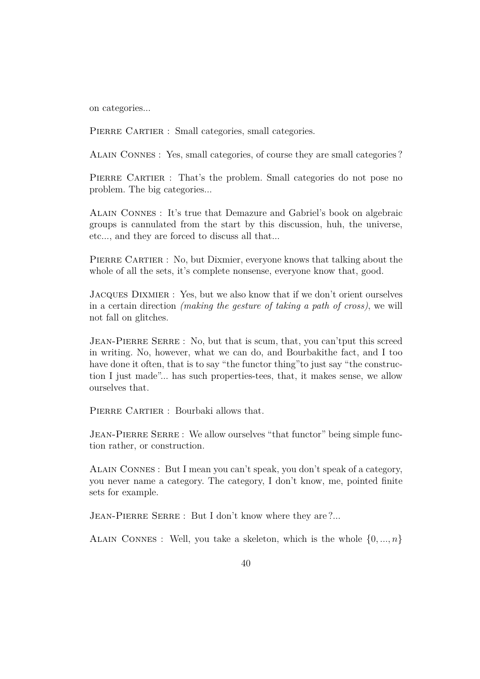on categories...

PIERRE CARTIER : Small categories, small categories.

Alain Connes : Yes, small categories, of course they are small categories ?

PIERRE CARTIER : That's the problem. Small categories do not pose no problem. The big categories...

Alain Connes : It's true that Demazure and Gabriel's book on algebraic groups is cannulated from the start by this discussion, huh, the universe, etc..., and they are forced to discuss all that...

PIERRE CARTIER : No, but Dixmier, everyone knows that talking about the whole of all the sets, it's complete nonsense, everyone know that, good.

Jacques Dixmier : Yes, but we also know that if we don't orient ourselves in a certain direction *(making the gesture of taking a path of cross)*, we will not fall on glitches.

JEAN-PIERRE SERRE : No, but that is scum, that, you can't put this screed in writing. No, however, what we can do, and Bourbakithe fact, and I too have done it often, that is to say "the functor thing"to just say "the construction I just made"... has such properties-tees, that, it makes sense, we allow ourselves that.

PIERRE CARTIER : Bourbaki allows that.

JEAN-PIERRE SERRE : We allow ourselves "that functor" being simple function rather, or construction.

Alain Connes : But I mean you can't speak, you don't speak of a category, you never name a category. The category, I don't know, me, pointed finite sets for example.

JEAN-PIERRE SERRE : But I don't know where they are ?...

ALAIN CONNES : Well, you take a skeleton, which is the whole  $\{0, ..., n\}$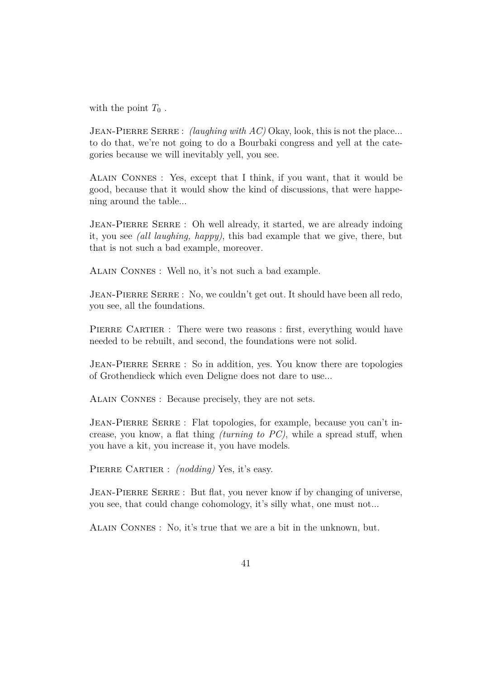with the point  $T_0$ .

Jean-Pierre Serre : *(laughing with AC)* Okay, look, this is not the place... to do that, we're not going to do a Bourbaki congress and yell at the categories because we will inevitably yell, you see.

Alain Connes : Yes, except that I think, if you want, that it would be good, because that it would show the kind of discussions, that were happening around the table...

JEAN-PIERRE SERRE : Oh well already, it started, we are already indoing it, you see *(all laughing, happy)*, this bad example that we give, there, but that is not such a bad example, moreover.

Alain Connes : Well no, it's not such a bad example.

JEAN-PIERRE SERRE : No, we couldn't get out. It should have been all redo, you see, all the foundations.

PIERRE CARTIER : There were two reasons : first, everything would have needed to be rebuilt, and second, the foundations were not solid.

JEAN-PIERRE SERRE : So in addition, yes. You know there are topologies of Grothendieck which even Deligne does not dare to use...

Alain Connes : Because precisely, they are not sets.

Jean-Pierre Serre : Flat topologies, for example, because you can't increase, you know, a flat thing *(turning to PC)*, while a spread stuff, when you have a kit, you increase it, you have models.

PIERRE CARTIER : *(nodding)* Yes, it's easy.

JEAN-PIERRE SERRE : But flat, you never know if by changing of universe, you see, that could change cohomology, it's silly what, one must not...

Alain Connes : No, it's true that we are a bit in the unknown, but.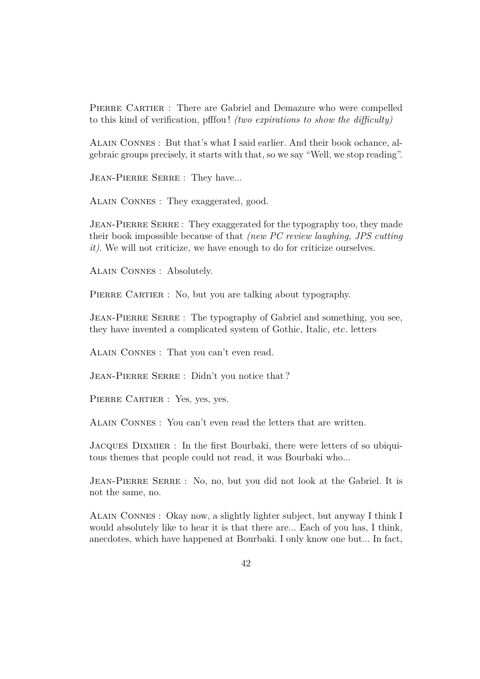PIERRE CARTIER : There are Gabriel and Demazure who were compelled to this kind of verification, pfffou ! *(two expirations to show the difficulty)*

Alain Connes : But that's what I said earlier. And their book ochance, algebraic groups precisely, it starts with that, so we say "Well, we stop reading".

JEAN-PIERRE SERRE : They have...

Alain Connes : They exaggerated, good.

JEAN-PIERRE SERRE : They exaggerated for the typography too, they made their book impossible because of that *(new PC review laughing, JPS cutting it)*. We will not criticize, we have enough to do for criticize ourselves.

Alain Connes : Absolutely.

PIERRE CARTIER : No, but you are talking about typography.

JEAN-PIERRE SERRE : The typography of Gabriel and something, you see, they have invented a complicated system of Gothic, Italic, etc. letters

Alain Connes : That you can't even read.

JEAN-PIERRE SERRE : Didn't you notice that?

PIERRE CARTIER : Yes, yes, yes.

Alain Connes : You can't even read the letters that are written.

Jacques Dixmier : In the first Bourbaki, there were letters of so ubiquitous themes that people could not read, it was Bourbaki who...

JEAN-PIERRE SERRE : No, no, but you did not look at the Gabriel. It is not the same, no.

Alain Connes : Okay now, a slightly lighter subject, but anyway I think I would absolutely like to hear it is that there are... Each of you has, I think, anecdotes, which have happened at Bourbaki. I only know one but... In fact,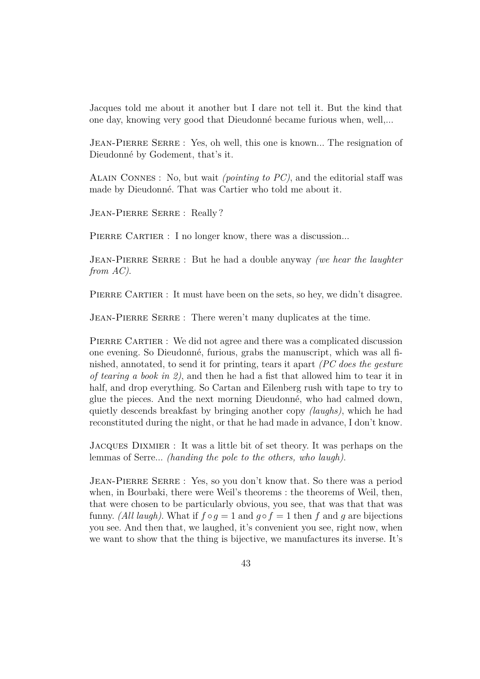Jacques told me about it another but I dare not tell it. But the kind that one day, knowing very good that Dieudonné became furious when, well,...

JEAN-PIERRE SERRE : Yes, oh well, this one is known... The resignation of Dieudonné by Godement, that's it.

Alain Connes : No, but wait *(pointing to PC)*, and the editorial staff was made by Dieudonné. That was Cartier who told me about it.

Jean-Pierre Serre : Really ?

PIERRE CARTIER : I no longer know, there was a discussion...

Jean-Pierre Serre : But he had a double anyway *(we hear the laughter from AC)*.

PIERRE CARTIER : It must have been on the sets, so hey, we didn't disagree.

JEAN-PIERRE SERRE : There weren't many duplicates at the time.

PIERRE CARTIER : We did not agree and there was a complicated discussion one evening. So Dieudonné, furious, grabs the manuscript, which was all finished, annotated, to send it for printing, tears it apart *(PC does the gesture of tearing a book in 2)*, and then he had a fist that allowed him to tear it in half, and drop everything. So Cartan and Eilenberg rush with tape to try to glue the pieces. And the next morning Dieudonné, who had calmed down, quietly descends breakfast by bringing another copy *(laughs)*, which he had reconstituted during the night, or that he had made in advance, I don't know.

Jacques Dixmier : It was a little bit of set theory. It was perhaps on the lemmas of Serre... *(handing the pole to the others, who laugh)*.

JEAN-PIERRE SERRE : Yes, so you don't know that. So there was a period when, in Bourbaki, there were Weil's theorems : the theorems of Weil, then, that were chosen to be particularly obvious, you see, that was that that was funny. *(All laugh)*. What if  $f \circ q = 1$  and  $q \circ f = 1$  then f and q are bijections you see. And then that, we laughed, it's convenient you see, right now, when we want to show that the thing is bijective, we manufactures its inverse. It's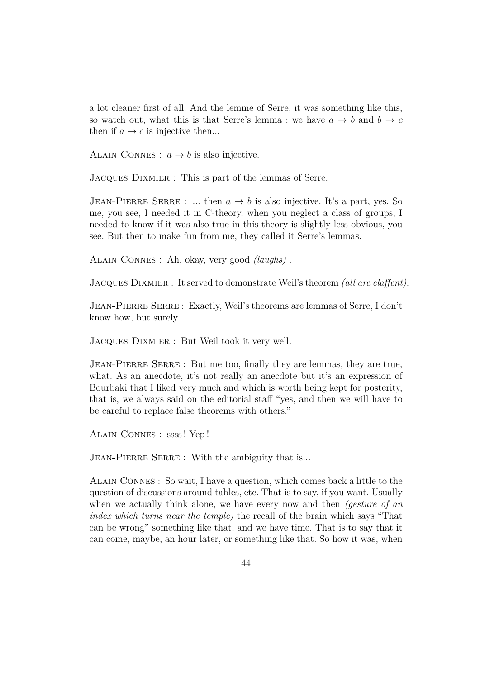a lot cleaner first of all. And the lemme of Serre, it was something like this, so watch out, what this is that Serre's lemma : we have  $a \to b$  and  $b \to c$ then if  $a \to c$  is injective then...

ALAIN CONNES :  $a \rightarrow b$  is also injective.

Jacques Dixmier : This is part of the lemmas of Serre.

JEAN-PIERRE SERRE : ... then  $a \to b$  is also injective. It's a part, yes. So me, you see, I needed it in C-theory, when you neglect a class of groups, I needed to know if it was also true in this theory is slightly less obvious, you see. But then to make fun from me, they called it Serre's lemmas.

Alain Connes : Ah, okay, very good *(laughs)* .

Jacques Dixmier : It served to demonstrate Weil's theorem *(all are claffent)*.

Jean-Pierre Serre : Exactly, Weil's theorems are lemmas of Serre, I don't know how, but surely.

Jacques Dixmier : But Weil took it very well.

JEAN-PIERRE SERRE : But me too, finally they are lemmas, they are true, what. As an anecdote, it's not really an anecdote but it's an expression of Bourbaki that I liked very much and which is worth being kept for posterity, that is, we always said on the editorial staff "yes, and then we will have to be careful to replace false theorems with others."

Alain Connes : ssss ! Yep !

JEAN-PIERRE SERRE : With the ambiguity that is...

Alain Connes : So wait, I have a question, which comes back a little to the question of discussions around tables, etc. That is to say, if you want. Usually when we actually think alone, we have every now and then *(gesture of an index which turns near the temple)* the recall of the brain which says "That can be wrong" something like that, and we have time. That is to say that it can come, maybe, an hour later, or something like that. So how it was, when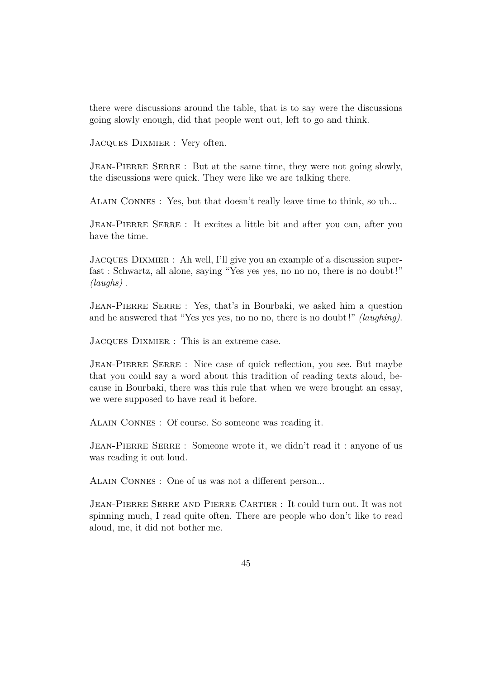there were discussions around the table, that is to say were the discussions going slowly enough, did that people went out, left to go and think.

Jacques Dixmier : Very often.

JEAN-PIERRE SERRE : But at the same time, they were not going slowly. the discussions were quick. They were like we are talking there.

Alain Connes : Yes, but that doesn't really leave time to think, so uh...

JEAN-PIERRE SERRE : It excites a little bit and after you can, after you have the time.

Jacques Dixmier : Ah well, I'll give you an example of a discussion superfast : Schwartz, all alone, saying "Yes yes yes, no no no, there is no doubt !" *(laughs)* .

JEAN-PIERRE SERRE : Yes, that's in Bourbaki, we asked him a question and he answered that "Yes yes yes, no no no, there is no doubt !" *(laughing)*.

Jacques Dixmier : This is an extreme case.

JEAN-PIERRE SERRE : Nice case of quick reflection, you see. But maybe that you could say a word about this tradition of reading texts aloud, because in Bourbaki, there was this rule that when we were brought an essay, we were supposed to have read it before.

Alain Connes : Of course. So someone was reading it.

JEAN-PIERRE SERRE : Someone wrote it, we didn't read it : anyone of us was reading it out loud.

Alain Connes : One of us was not a different person...

Jean-Pierre Serre and Pierre Cartier : It could turn out. It was not spinning much, I read quite often. There are people who don't like to read aloud, me, it did not bother me.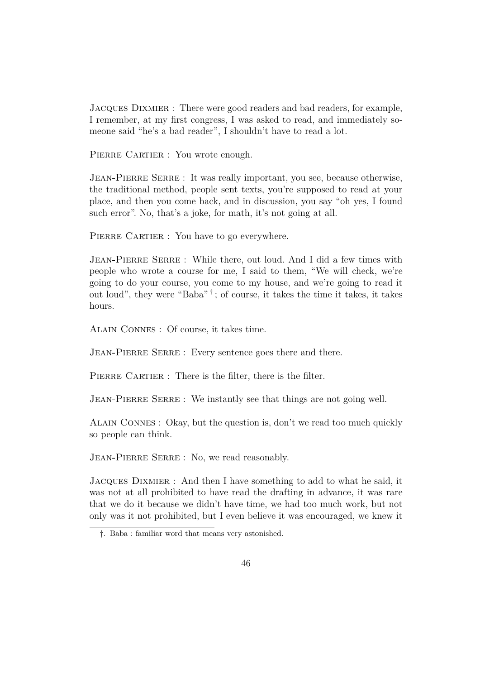Jacques Dixmier : There were good readers and bad readers, for example, I remember, at my first congress, I was asked to read, and immediately someone said "he's a bad reader", I shouldn't have to read a lot.

PIERRE CARTIER : You wrote enough.

JEAN-PIERRE SERRE : It was really important, you see, because otherwise, the traditional method, people sent texts, you're supposed to read at your place, and then you come back, and in discussion, you say "oh yes, I found such error". No, that's a joke, for math, it's not going at all.

PIERRE CARTIER : You have to go everywhere.

JEAN-PIERRE SERRE : While there, out loud. And I did a few times with people who wrote a course for me, I said to them, "We will check, we're going to do your course, you come to my house, and we're going to read it out loud", they were "Baba" † ; of course, it takes the time it takes, it takes hours.

Alain Connes : Of course, it takes time.

JEAN-PIERRE SERRE : Every sentence goes there and there.

PIERRE CARTIER : There is the filter, there is the filter.

JEAN-PIERRE SERRE : We instantly see that things are not going well.

Alain Connes : Okay, but the question is, don't we read too much quickly so people can think.

JEAN-PIERRE SERRE : No, we read reasonably.

Jacques Dixmier : And then I have something to add to what he said, it was not at all prohibited to have read the drafting in advance, it was rare that we do it because we didn't have time, we had too much work, but not only was it not prohibited, but I even believe it was encouraged, we knew it

<sup>†</sup>. Baba : familiar word that means very astonished.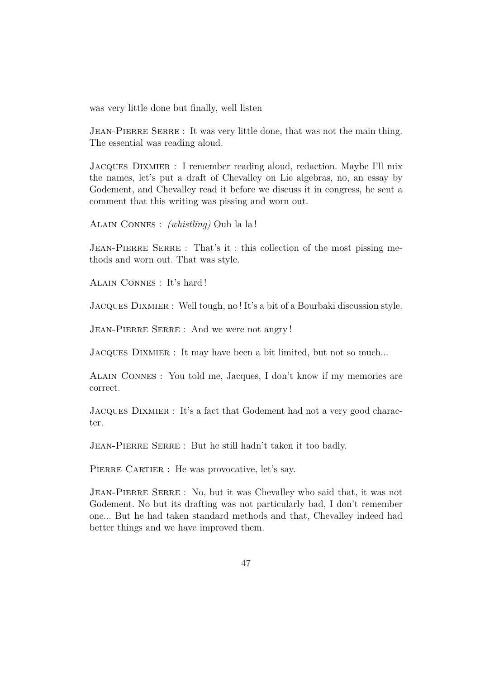was very little done but finally, well listen

JEAN-PIERRE SERRE : It was very little done, that was not the main thing. The essential was reading aloud.

Jacques Dixmier : I remember reading aloud, redaction. Maybe I'll mix the names, let's put a draft of Chevalley on Lie algebras, no, an essay by Godement, and Chevalley read it before we discuss it in congress, he sent a comment that this writing was pissing and worn out.

Alain Connes : *(whistling)* Ouh la la !

JEAN-PIERRE SERRE : That's it : this collection of the most pissing methods and worn out. That was style.

Alain Connes : It's hard !

Jacques Dixmier : Well tough, no ! It's a bit of a Bourbaki discussion style.

JEAN-PIERRE SERRE : And we were not angry!

JACQUES DIXMIER : It may have been a bit limited, but not so much...

Alain Connes : You told me, Jacques, I don't know if my memories are correct.

Jacques Dixmier : It's a fact that Godement had not a very good character.

JEAN-PIERRE SERRE : But he still hadn't taken it too badly.

PIERRE CARTIER : He was provocative, let's say.

JEAN-PIERRE SERRE : No, but it was Chevalley who said that, it was not Godement. No but its drafting was not particularly bad, I don't remember one... But he had taken standard methods and that, Chevalley indeed had better things and we have improved them.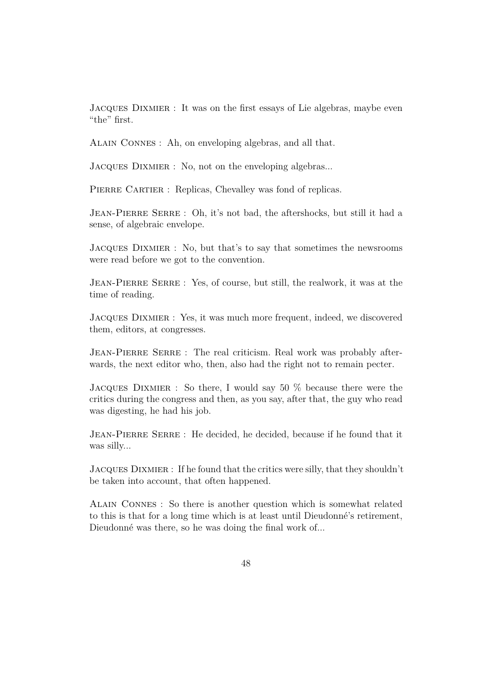Jacques Dixmier : It was on the first essays of Lie algebras, maybe even "the" first.

Alain Connes : Ah, on enveloping algebras, and all that.

JACQUES DIXMIER : No, not on the enveloping algebras...

PIERRE CARTIER : Replicas, Chevalley was fond of replicas.

JEAN-PIERRE SERRE : Oh, it's not bad, the aftershocks, but still it had a sense, of algebraic envelope.

Jacques Dixmier : No, but that's to say that sometimes the newsrooms were read before we got to the convention.

Jean-Pierre Serre : Yes, of course, but still, the realwork, it was at the time of reading.

Jacques Dixmier : Yes, it was much more frequent, indeed, we discovered them, editors, at congresses.

JEAN-PIERRE SERRE : The real criticism. Real work was probably afterwards, the next editor who, then, also had the right not to remain pecter.

JACQUES DIXMIER : So there, I would say 50  $\%$  because there were the critics during the congress and then, as you say, after that, the guy who read was digesting, he had his job.

JEAN-PIERRE SERRE : He decided, he decided, because if he found that it was silly...

Jacques Dixmier : If he found that the critics were silly, that they shouldn't be taken into account, that often happened.

Alain Connes : So there is another question which is somewhat related to this is that for a long time which is at least until Dieudonné's retirement, Dieudonné was there, so he was doing the final work of...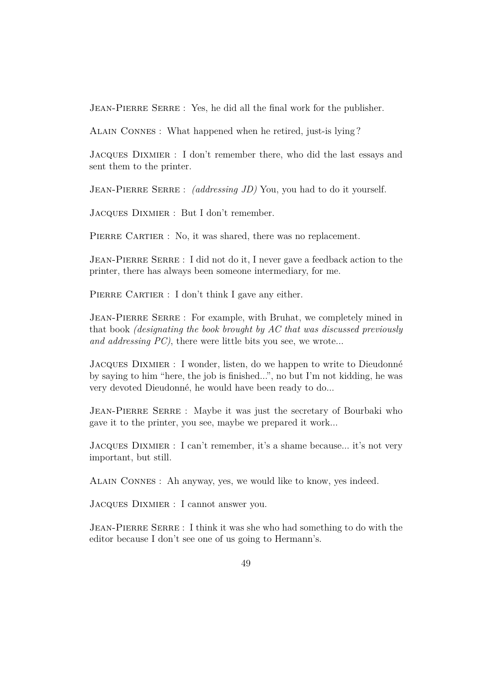JEAN-PIERRE SERRE : Yes, he did all the final work for the publisher.

Alain Connes : What happened when he retired, just-is lying ?

Jacques Dixmier : I don't remember there, who did the last essays and sent them to the printer.

JEAN-PIERRE SERRE : *(addressing JD)* You, you had to do it yourself.

Jacques Dixmier : But I don't remember.

PIERRE CARTIER : No, it was shared, there was no replacement.

JEAN-PIERRE SERRE : I did not do it, I never gave a feedback action to the printer, there has always been someone intermediary, for me.

PIERRE CARTIER : I don't think I gave any either.

JEAN-PIERRE SERRE : For example, with Bruhat, we completely mined in that book *(designating the book brought by AC that was discussed previously and addressing PC)*, there were little bits you see, we wrote...

Jacques Dixmier : I wonder, listen, do we happen to write to Dieudonné by saying to him "here, the job is finished...", no but I'm not kidding, he was very devoted Dieudonné, he would have been ready to do...

JEAN-PIERRE SERRE : Maybe it was just the secretary of Bourbaki who gave it to the printer, you see, maybe we prepared it work...

Jacques Dixmier : I can't remember, it's a shame because... it's not very important, but still.

Alain Connes : Ah anyway, yes, we would like to know, yes indeed.

Jacques Dixmier : I cannot answer you.

Jean-Pierre Serre : I think it was she who had something to do with the editor because I don't see one of us going to Hermann's.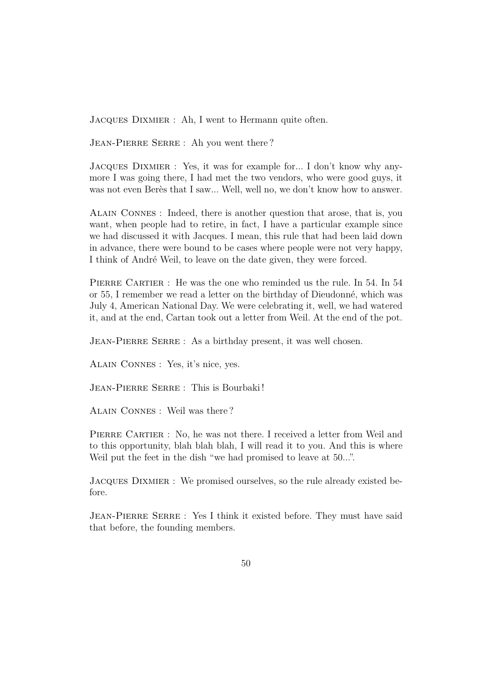Jacques Dixmier : Ah, I went to Hermann quite often.

JEAN-PIERRE SERRE : Ah you went there?

Jacques Dixmier : Yes, it was for example for... I don't know why anymore I was going there, I had met the two vendors, who were good guys, it was not even Berès that I saw... Well, well no, we don't know how to answer.

Alain Connes : Indeed, there is another question that arose, that is, you want, when people had to retire, in fact, I have a particular example since we had discussed it with Jacques. I mean, this rule that had been laid down in advance, there were bound to be cases where people were not very happy, I think of André Weil, to leave on the date given, they were forced.

PIERRE CARTIER : He was the one who reminded us the rule. In 54. In 54 or 55, I remember we read a letter on the birthday of Dieudonné, which was July 4, American National Day. We were celebrating it, well, we had watered it, and at the end, Cartan took out a letter from Weil. At the end of the pot.

JEAN-PIERRE SERRE : As a birthday present, it was well chosen.

Alain Connes : Yes, it's nice, yes.

JEAN-PIERRE SERRE : This is Bourbaki!

Alain Connes : Weil was there ?

PIERRE CARTIER : No, he was not there. I received a letter from Weil and to this opportunity, blah blah blah, I will read it to you. And this is where Weil put the feet in the dish "we had promised to leave at 50...".

Jacques Dixmier : We promised ourselves, so the rule already existed before.

JEAN-PIERRE SERRE : Yes I think it existed before. They must have said that before, the founding members.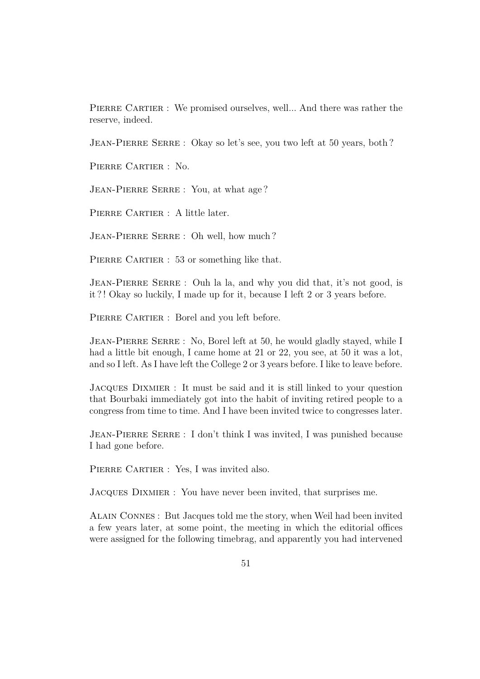PIERRE CARTIER : We promised ourselves, well... And there was rather the reserve, indeed.

JEAN-PIERRE SERRE : Okay so let's see, you two left at 50 years, both?

Pierre Cartier : No.

JEAN-PIERRE SERRE : You, at what age?

PIERRE CARTIER : A little later.

Jean-Pierre Serre : Oh well, how much ?

PIERRE CARTIER : 53 or something like that.

JEAN-PIERRE SERRE : Ouh la la, and why you did that, it's not good, is it ?! Okay so luckily, I made up for it, because I left 2 or 3 years before.

PIERRE CARTIER : Borel and you left before.

JEAN-PIERRE SERRE : No, Borel left at 50, he would gladly stayed, while I had a little bit enough, I came home at 21 or 22, you see, at 50 it was a lot, and so I left. As I have left the College 2 or 3 years before. I like to leave before.

Jacques Dixmier : It must be said and it is still linked to your question that Bourbaki immediately got into the habit of inviting retired people to a congress from time to time. And I have been invited twice to congresses later.

Jean-Pierre Serre : I don't think I was invited, I was punished because I had gone before.

PIERRE CARTIER : Yes, I was invited also.

Jacques Dixmier : You have never been invited, that surprises me.

Alain Connes : But Jacques told me the story, when Weil had been invited a few years later, at some point, the meeting in which the editorial offices were assigned for the following timebrag, and apparently you had intervened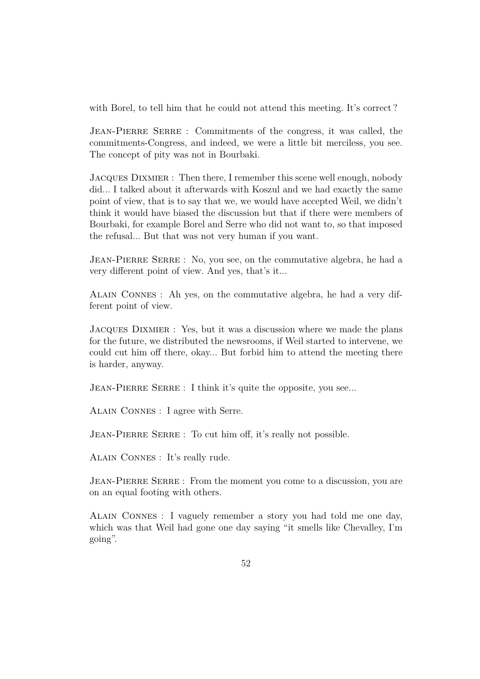with Borel, to tell him that he could not attend this meeting. It's correct?

Jean-Pierre Serre : Commitments of the congress, it was called, the commitments-Congress, and indeed, we were a little bit merciless, you see. The concept of pity was not in Bourbaki.

Jacques Dixmier : Then there, I remember this scene well enough, nobody did... I talked about it afterwards with Koszul and we had exactly the same point of view, that is to say that we, we would have accepted Weil, we didn't think it would have biased the discussion but that if there were members of Bourbaki, for example Borel and Serre who did not want to, so that imposed the refusal... But that was not very human if you want.

JEAN-PIERRE SERRE : No, you see, on the commutative algebra, he had a very different point of view. And yes, that's it...

Alain Connes : Ah yes, on the commutative algebra, he had a very different point of view.

Jacques Dixmier : Yes, but it was a discussion where we made the plans for the future, we distributed the newsrooms, if Weil started to intervene, we could cut him off there, okay... But forbid him to attend the meeting there is harder, anyway.

JEAN-PIERRE SERRE : I think it's quite the opposite, you see...

Alain Connes : I agree with Serre.

JEAN-PIERRE SERRE : To cut him off, it's really not possible.

Alain Connes : It's really rude.

JEAN-PIERRE SERRE : From the moment you come to a discussion, you are on an equal footing with others.

Alain Connes : I vaguely remember a story you had told me one day, which was that Weil had gone one day saying "it smells like Chevalley, I'm going".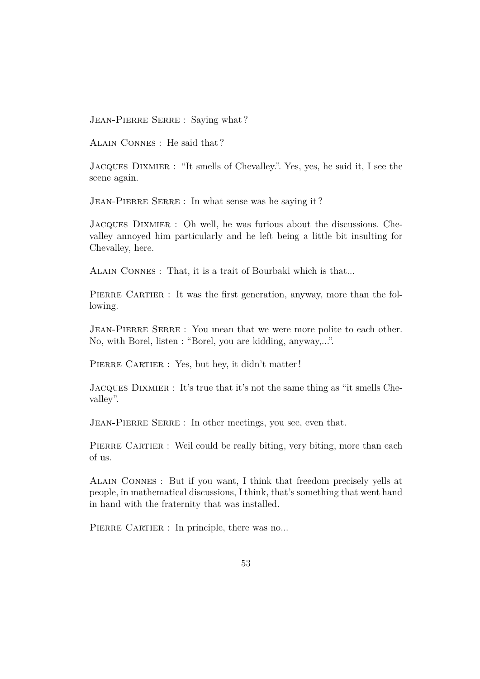JEAN-PIERRE SERRE : Saving what?

Alain Connes : He said that ?

Jacques Dixmier : "It smells of Chevalley.". Yes, yes, he said it, I see the scene again.

JEAN-PIERRE SERRE : In what sense was he saying it?

Jacques Dixmier : Oh well, he was furious about the discussions. Chevalley annoyed him particularly and he left being a little bit insulting for Chevalley, here.

Alain Connes : That, it is a trait of Bourbaki which is that...

PIERRE CARTIER : It was the first generation, anyway, more than the following.

JEAN-PIERRE SERRE : You mean that we were more polite to each other. No, with Borel, listen : "Borel, you are kidding, anyway,...".

PIERRE CARTIER : Yes, but hey, it didn't matter!

Jacques Dixmier : It's true that it's not the same thing as "it smells Chevalley".

JEAN-PIERRE SERRE : In other meetings, you see, even that.

PIERRE CARTIER : Weil could be really biting, very biting, more than each of us.

Alain Connes : But if you want, I think that freedom precisely yells at people, in mathematical discussions, I think, that's something that went hand in hand with the fraternity that was installed.

PIERRE CARTIER : In principle, there was no...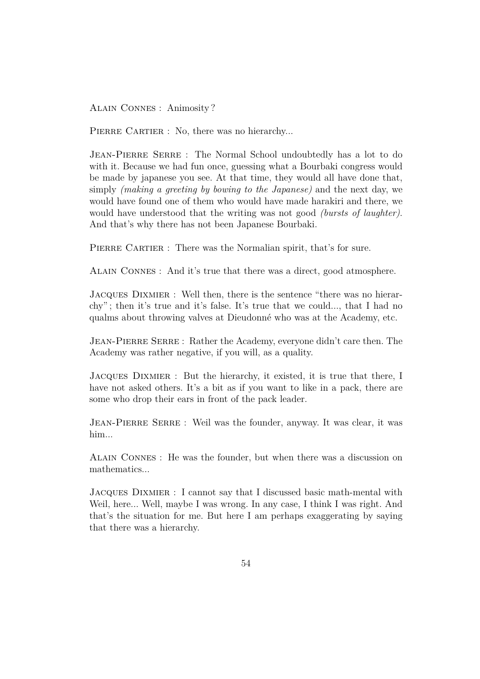Alain Connes : Animosity ?

PIERRE CARTIER : No, there was no hierarchy...

JEAN-PIERRE SERRE : The Normal School undoubtedly has a lot to do with it. Because we had fun once, guessing what a Bourbaki congress would be made by japanese you see. At that time, they would all have done that, simply *(making a greeting by bowing to the Japanese)* and the next day, we would have found one of them who would have made harakiri and there, we would have understood that the writing was not good *(bursts of laughter)*. And that's why there has not been Japanese Bourbaki.

PIERRE CARTIER : There was the Normalian spirit, that's for sure.

Alain Connes : And it's true that there was a direct, good atmosphere.

Jacques Dixmier : Well then, there is the sentence "there was no hierarchy" ; then it's true and it's false. It's true that we could..., that I had no qualms about throwing valves at Dieudonné who was at the Academy, etc.

JEAN-PIERRE SERRE : Rather the Academy, everyone didn't care then. The Academy was rather negative, if you will, as a quality.

Jacques Dixmier : But the hierarchy, it existed, it is true that there, I have not asked others. It's a bit as if you want to like in a pack, there are some who drop their ears in front of the pack leader.

JEAN-PIERRE SERRE : Weil was the founder, anyway. It was clear, it was him...

Alain Connes : He was the founder, but when there was a discussion on mathematics...

Jacques Dixmier : I cannot say that I discussed basic math-mental with Weil, here... Well, maybe I was wrong. In any case, I think I was right. And that's the situation for me. But here I am perhaps exaggerating by saying that there was a hierarchy.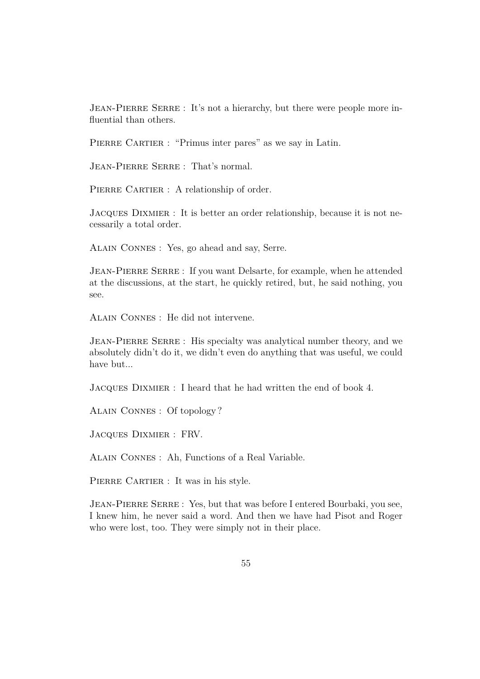JEAN-PIERRE SERRE : It's not a hierarchy, but there were people more influential than others.

PIERRE CARTIER : "Primus inter pares" as we say in Latin.

JEAN-PIERRE SERRE : That's normal.

PIERRE CARTIER : A relationship of order.

Jacques Dixmier : It is better an order relationship, because it is not necessarily a total order.

Alain Connes : Yes, go ahead and say, Serre.

Jean-Pierre Serre : If you want Delsarte, for example, when he attended at the discussions, at the start, he quickly retired, but, he said nothing, you see.

Alain Connes : He did not intervene.

JEAN-PIERRE SERRE : His specialty was analytical number theory, and we absolutely didn't do it, we didn't even do anything that was useful, we could have but...

Jacques Dixmier : I heard that he had written the end of book 4.

Alain Connes : Of topology ?

Jacques Dixmier : FRV.

Alain Connes : Ah, Functions of a Real Variable.

PIERRE CARTIER : It was in his style.

JEAN-PIERRE SERRE : Yes, but that was before I entered Bourbaki, you see, I knew him, he never said a word. And then we have had Pisot and Roger who were lost, too. They were simply not in their place.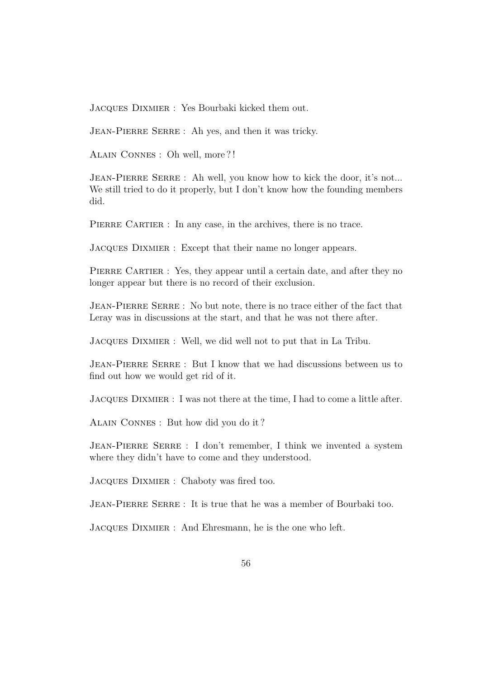Jacques Dixmier : Yes Bourbaki kicked them out.

JEAN-PIERRE SERRE : Ah yes, and then it was tricky.

Alain Connes : Oh well, more ? !

JEAN-PIERRE SERRE : Ah well, you know how to kick the door, it's not... We still tried to do it properly, but I don't know how the founding members did.

PIERRE CARTIER : In any case, in the archives, there is no trace.

Jacques Dixmier : Except that their name no longer appears.

PIERRE CARTIER : Yes, they appear until a certain date, and after they no longer appear but there is no record of their exclusion.

Jean-Pierre Serre : No but note, there is no trace either of the fact that Leray was in discussions at the start, and that he was not there after.

Jacques Dixmier : Well, we did well not to put that in La Tribu.

JEAN-PIERRE SERRE : But I know that we had discussions between us to find out how we would get rid of it.

Jacques Dixmier : I was not there at the time, I had to come a little after.

Alain Connes : But how did you do it ?

JEAN-PIERRE SERRE : I don't remember, I think we invented a system where they didn't have to come and they understood.

Jacques Dixmier : Chaboty was fired too.

JEAN-PIERRE SERRE : It is true that he was a member of Bourbaki too.

JACQUES DIXMIER : And Ehresmann, he is the one who left.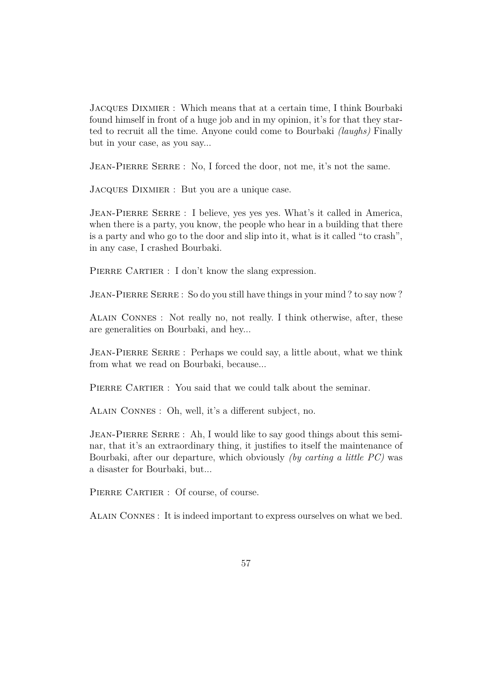Jacques Dixmier : Which means that at a certain time, I think Bourbaki found himself in front of a huge job and in my opinion, it's for that they started to recruit all the time. Anyone could come to Bourbaki *(laughs)* Finally but in your case, as you say...

JEAN-PIERRE SERRE : No, I forced the door, not me, it's not the same.

JACQUES DIXMIER : But you are a unique case.

Jean-Pierre Serre : I believe, yes yes yes. What's it called in America, when there is a party, you know, the people who hear in a building that there is a party and who go to the door and slip into it, what is it called "to crash", in any case, I crashed Bourbaki.

PIERRE CARTIER : I don't know the slang expression.

JEAN-PIERRE SERRE : So do you still have things in your mind? to say now?

Alain Connes : Not really no, not really. I think otherwise, after, these are generalities on Bourbaki, and hey...

JEAN-PIERRE SERRE : Perhaps we could say, a little about, what we think from what we read on Bourbaki, because...

PIERRE CARTIER : You said that we could talk about the seminar.

Alain Connes : Oh, well, it's a different subject, no.

JEAN-PIERRE SERRE : Ah, I would like to say good things about this seminar, that it's an extraordinary thing, it justifies to itself the maintenance of Bourbaki, after our departure, which obviously *(by carting a little PC)* was a disaster for Bourbaki, but...

PIERRE CARTIER : Of course, of course.

Alain Connes : It is indeed important to express ourselves on what we bed.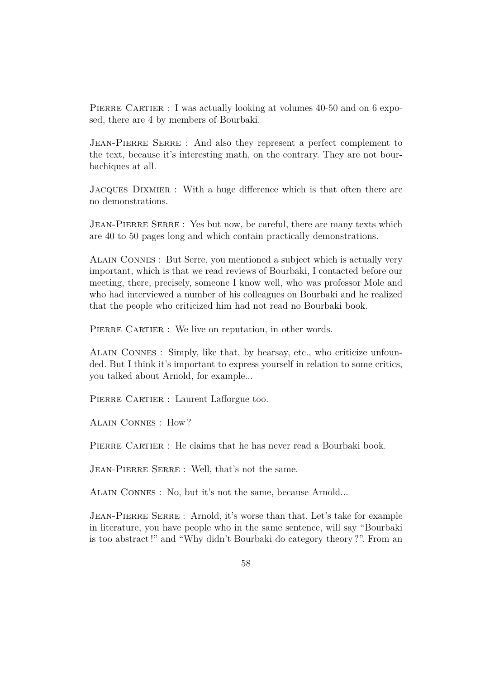PIERRE CARTIER : I was actually looking at volumes 40-50 and on 6 exposed, there are 4 by members of Bourbaki.

JEAN-PIERRE SERRE : And also they represent a perfect complement to the text, because it's interesting math, on the contrary. They are not bourbachiques at all.

Jacques Dixmier : With a huge difference which is that often there are no demonstrations.

JEAN-PIERRE SERRE : Yes but now, be careful, there are many texts which are 40 to 50 pages long and which contain practically demonstrations.

Alain Connes : But Serre, you mentioned a subject which is actually very important, which is that we read reviews of Bourbaki, I contacted before our meeting, there, precisely, someone I know well, who was professor Mole and who had interviewed a number of his colleagues on Bourbaki and he realized that the people who criticized him had not read no Bourbaki book.

PIERRE CARTIER : We live on reputation, in other words.

Alain Connes : Simply, like that, by hearsay, etc., who criticize unfounded. But I think it's important to express yourself in relation to some critics, you talked about Arnold, for example...

PIERRE CARTIER : Laurent Lafforgue too.

Alain Connes : How ?

PIERRE CARTIER : He claims that he has never read a Bourbaki book.

JEAN-PIERRE SERRE : Well, that's not the same.

Alain Connes : No, but it's not the same, because Arnold...

JEAN-PIERRE SERRE : Arnold, it's worse than that. Let's take for example in literature, you have people who in the same sentence, will say "Bourbaki is too abstract !" and "Why didn't Bourbaki do category theory ?". From an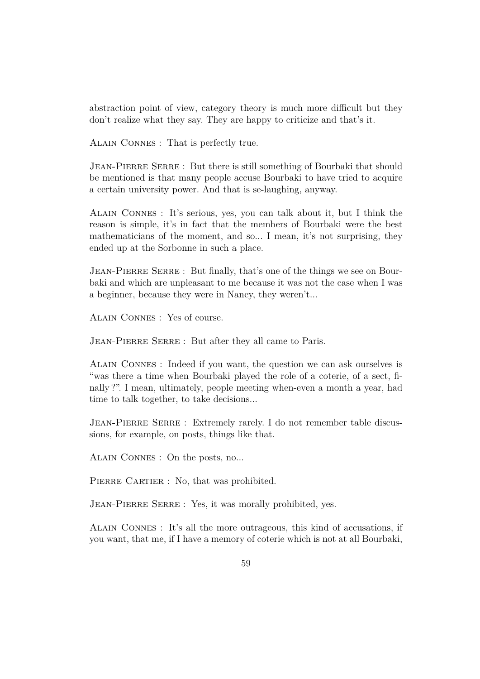abstraction point of view, category theory is much more difficult but they don't realize what they say. They are happy to criticize and that's it.

Alain Connes : That is perfectly true.

JEAN-PIERRE SERRE : But there is still something of Bourbaki that should be mentioned is that many people accuse Bourbaki to have tried to acquire a certain university power. And that is se-laughing, anyway.

Alain Connes : It's serious, yes, you can talk about it, but I think the reason is simple, it's in fact that the members of Bourbaki were the best mathematicians of the moment, and so... I mean, it's not surprising, they ended up at the Sorbonne in such a place.

JEAN-PIERRE SERRE : But finally, that's one of the things we see on Bourbaki and which are unpleasant to me because it was not the case when I was a beginner, because they were in Nancy, they weren't...

Alain Connes : Yes of course.

JEAN-PIERRE SERRE : But after they all came to Paris.

Alain Connes : Indeed if you want, the question we can ask ourselves is "was there a time when Bourbaki played the role of a coterie, of a sect, finally ?". I mean, ultimately, people meeting when-even a month a year, had time to talk together, to take decisions...

JEAN-PIERRE SERRE : Extremely rarely. I do not remember table discussions, for example, on posts, things like that.

Alain Connes : On the posts, no...

PIERRE CARTIER : No, that was prohibited.

JEAN-PIERRE SERRE : Yes, it was morally prohibited, yes.

Alain Connes : It's all the more outrageous, this kind of accusations, if you want, that me, if I have a memory of coterie which is not at all Bourbaki,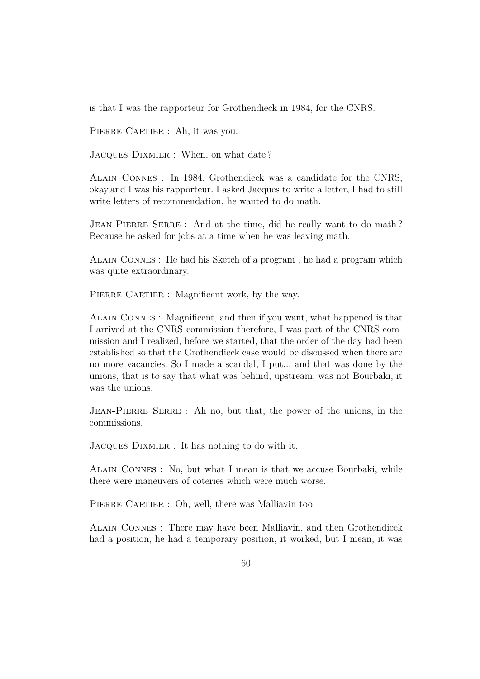is that I was the rapporteur for Grothendieck in 1984, for the CNRS.

PIERRE CARTIER : Ah, it was you.

Jacques Dixmier : When, on what date ?

Alain Connes : In 1984. Grothendieck was a candidate for the CNRS, okay,and I was his rapporteur. I asked Jacques to write a letter, I had to still write letters of recommendation, he wanted to do math.

JEAN-PIERRE SERRE : And at the time, did he really want to do math? Because he asked for jobs at a time when he was leaving math.

Alain Connes : He had his Sketch of a program , he had a program which was quite extraordinary.

PIERRE CARTIER : Magnificent work, by the way.

Alain Connes : Magnificent, and then if you want, what happened is that I arrived at the CNRS commission therefore, I was part of the CNRS commission and I realized, before we started, that the order of the day had been established so that the Grothendieck case would be discussed when there are no more vacancies. So I made a scandal, I put... and that was done by the unions, that is to say that what was behind, upstream, was not Bourbaki, it was the unions.

Jean-Pierre Serre : Ah no, but that, the power of the unions, in the commissions.

Jacques Dixmier : It has nothing to do with it.

Alain Connes : No, but what I mean is that we accuse Bourbaki, while there were maneuvers of coteries which were much worse.

PIERRE CARTIER : Oh, well, there was Malliavin too.

Alain Connes : There may have been Malliavin, and then Grothendieck had a position, he had a temporary position, it worked, but I mean, it was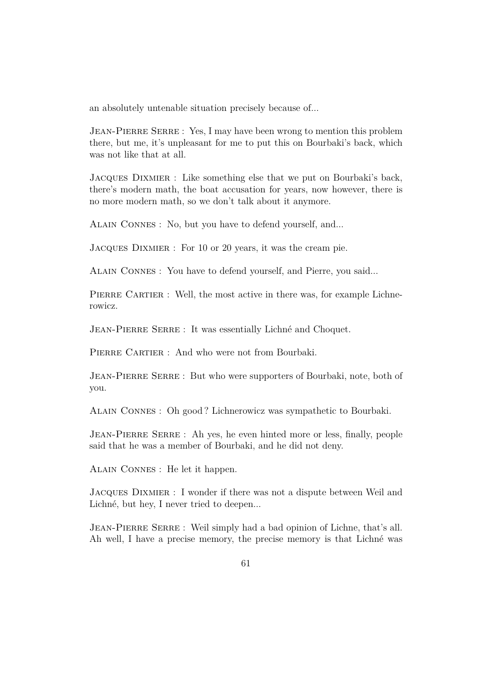an absolutely untenable situation precisely because of...

JEAN-PIERRE SERRE : Yes, I may have been wrong to mention this problem there, but me, it's unpleasant for me to put this on Bourbaki's back, which was not like that at all.

Jacques Dixmier : Like something else that we put on Bourbaki's back, there's modern math, the boat accusation for years, now however, there is no more modern math, so we don't talk about it anymore.

Alain Connes : No, but you have to defend yourself, and...

Jacques Dixmier : For 10 or 20 years, it was the cream pie.

Alain Connes : You have to defend yourself, and Pierre, you said...

PIERRE CARTIER : Well, the most active in there was, for example Lichnerowicz.

JEAN-PIERRE SERRE : It was essentially Lichné and Choquet.

PIERRE CARTIER : And who were not from Bourbaki.

JEAN-PIERRE SERRE : But who were supporters of Bourbaki, note, both of you.

Alain Connes : Oh good ? Lichnerowicz was sympathetic to Bourbaki.

Jean-Pierre Serre : Ah yes, he even hinted more or less, finally, people said that he was a member of Bourbaki, and he did not deny.

Alain Connes : He let it happen.

Jacques Dixmier : I wonder if there was not a dispute between Weil and Lichné, but hey, I never tried to deepen...

Jean-Pierre Serre : Weil simply had a bad opinion of Lichne, that's all. Ah well, I have a precise memory, the precise memory is that Lichné was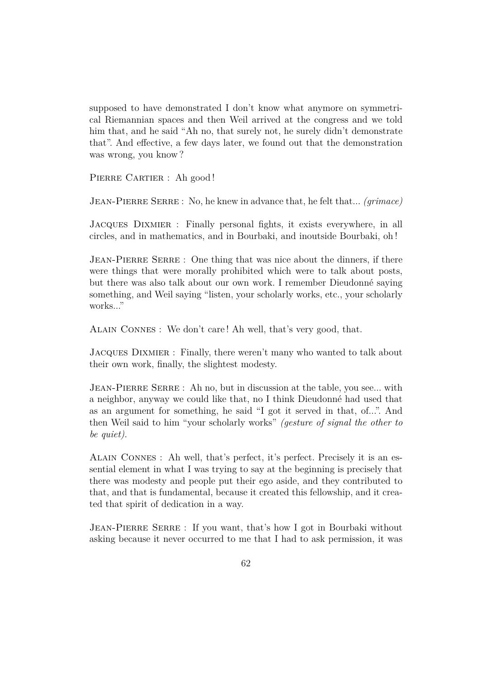supposed to have demonstrated I don't know what anymore on symmetrical Riemannian spaces and then Weil arrived at the congress and we told him that, and he said "Ah no, that surely not, he surely didn't demonstrate that". And effective, a few days later, we found out that the demonstration was wrong, you know ?

PIERRE CARTIER : Ah good!

Jean-Pierre Serre : No, he knew in advance that, he felt that... *(grimace)*

Jacques Dixmier : Finally personal fights, it exists everywhere, in all circles, and in mathematics, and in Bourbaki, and inoutside Bourbaki, oh !

JEAN-PIERRE SERRE : One thing that was nice about the dinners, if there were things that were morally prohibited which were to talk about posts, but there was also talk about our own work. I remember Dieudonné saying something, and Weil saying "listen, your scholarly works, etc., your scholarly works."

Alain Connes : We don't care ! Ah well, that's very good, that.

Jacques Dixmier : Finally, there weren't many who wanted to talk about their own work, finally, the slightest modesty.

JEAN-PIERRE SERRE : Ah no, but in discussion at the table, you see... with a neighbor, anyway we could like that, no I think Dieudonné had used that as an argument for something, he said "I got it served in that, of...". And then Weil said to him "your scholarly works" *(gesture of signal the other to be quiet)*.

Alain Connes : Ah well, that's perfect, it's perfect. Precisely it is an essential element in what I was trying to say at the beginning is precisely that there was modesty and people put their ego aside, and they contributed to that, and that is fundamental, because it created this fellowship, and it created that spirit of dedication in a way.

JEAN-PIERRE SERRE : If you want, that's how I got in Bourbaki without asking because it never occurred to me that I had to ask permission, it was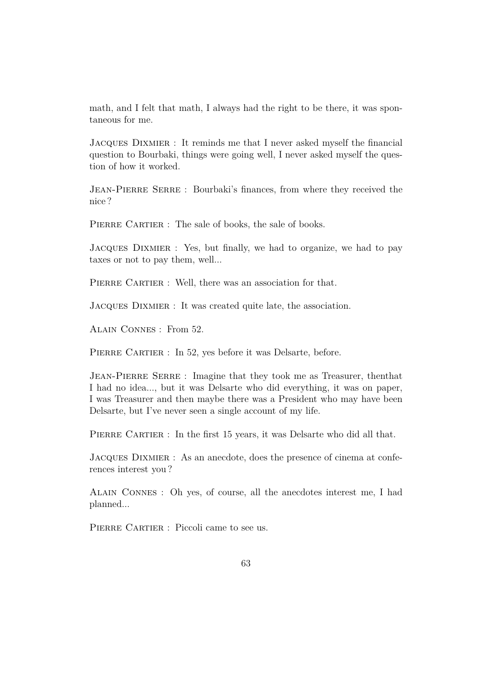math, and I felt that math, I always had the right to be there, it was spontaneous for me.

Jacques Dixmier : It reminds me that I never asked myself the financial question to Bourbaki, things were going well, I never asked myself the question of how it worked.

JEAN-PIERRE SERRE : Bourbaki's finances, from where they received the nice ?

PIERRE CARTIER : The sale of books, the sale of books.

Jacques Dixmier : Yes, but finally, we had to organize, we had to pay taxes or not to pay them, well...

PIERRE CARTIER : Well, there was an association for that.

Jacques Dixmier : It was created quite late, the association.

Alain Connes : From 52.

PIERRE CARTIER : In 52, yes before it was Delsarte, before.

JEAN-PIERRE SERRE : Imagine that they took me as Treasurer, then that I had no idea..., but it was Delsarte who did everything, it was on paper, I was Treasurer and then maybe there was a President who may have been Delsarte, but I've never seen a single account of my life.

PIERRE CARTIER : In the first 15 years, it was Delsarte who did all that.

Jacques Dixmier : As an anecdote, does the presence of cinema at conferences interest you ?

Alain Connes : Oh yes, of course, all the anecdotes interest me, I had planned...

PIERRE CARTIER : Piccoli came to see us.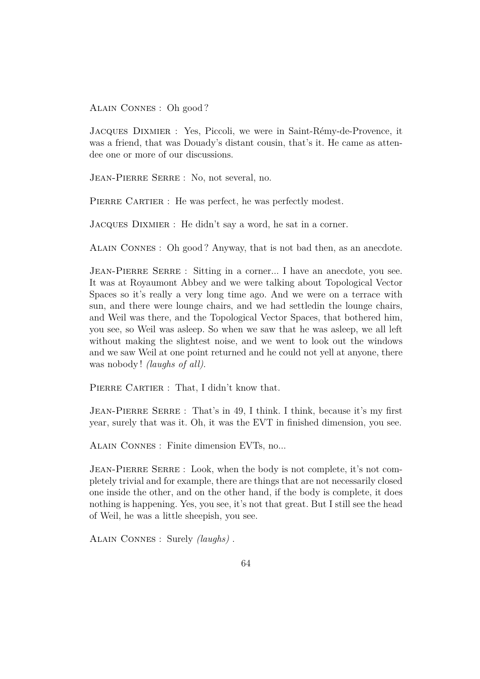Alain Connes : Oh good ?

Jacques Dixmier : Yes, Piccoli, we were in Saint-Rémy-de-Provence, it was a friend, that was Douady's distant cousin, that's it. He came as attendee one or more of our discussions.

Jean-Pierre Serre : No, not several, no.

PIERRE CARTIER : He was perfect, he was perfectly modest.

Jacques Dixmier : He didn't say a word, he sat in a corner.

Alain Connes : Oh good ? Anyway, that is not bad then, as an anecdote.

JEAN-PIERRE SERRE : Sitting in a corner... I have an anecdote, you see. It was at Royaumont Abbey and we were talking about Topological Vector Spaces so it's really a very long time ago. And we were on a terrace with sun, and there were lounge chairs, and we had settledin the lounge chairs, and Weil was there, and the Topological Vector Spaces, that bothered him, you see, so Weil was asleep. So when we saw that he was asleep, we all left without making the slightest noise, and we went to look out the windows and we saw Weil at one point returned and he could not yell at anyone, there was nobody ! *(laughs of all)*.

PIERRE CARTIER : That, I didn't know that.

Jean-Pierre Serre : That's in 49, I think. I think, because it's my first year, surely that was it. Oh, it was the EVT in finished dimension, you see.

Alain Connes : Finite dimension EVTs, no...

JEAN-PIERRE SERRE : Look, when the body is not complete, it's not completely trivial and for example, there are things that are not necessarily closed one inside the other, and on the other hand, if the body is complete, it does nothing is happening. Yes, you see, it's not that great. But I still see the head of Weil, he was a little sheepish, you see.

Alain Connes : Surely *(laughs)* .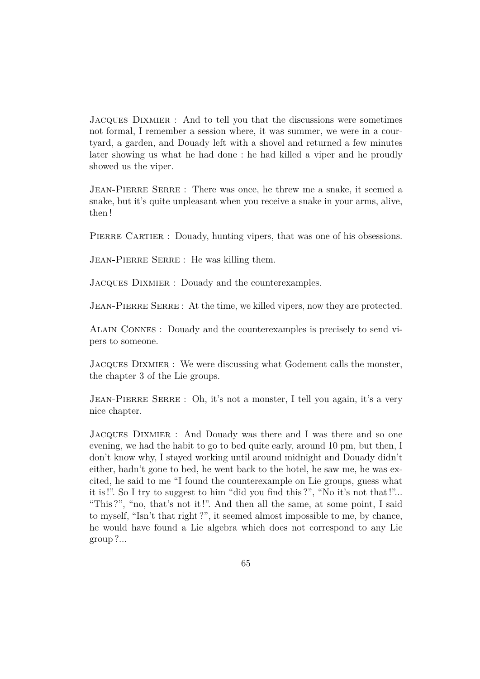Jacques Dixmier : And to tell you that the discussions were sometimes not formal, I remember a session where, it was summer, we were in a courtyard, a garden, and Douady left with a shovel and returned a few minutes later showing us what he had done : he had killed a viper and he proudly showed us the viper.

JEAN-PIERRE SERRE : There was once, he threw me a snake, it seemed a snake, but it's quite unpleasant when you receive a snake in your arms, alive, then !

PIERRE CARTIER : Douady, hunting vipers, that was one of his obsessions.

Jean-Pierre Serre : He was killing them.

Jacques Dixmier : Douady and the counterexamples.

JEAN-PIERRE SERRE : At the time, we killed vipers, now they are protected.

Alain Connes : Douady and the counterexamples is precisely to send vipers to someone.

Jacques Dixmier : We were discussing what Godement calls the monster, the chapter 3 of the Lie groups.

JEAN-PIERRE SERRE : Oh, it's not a monster, I tell you again, it's a very nice chapter.

Jacques Dixmier : And Douady was there and I was there and so one evening, we had the habit to go to bed quite early, around 10 pm, but then, I don't know why, I stayed working until around midnight and Douady didn't either, hadn't gone to bed, he went back to the hotel, he saw me, he was excited, he said to me "I found the counterexample on Lie groups, guess what it is !". So I try to suggest to him "did you find this ?", "No it's not that !"... "This ?", "no, that's not it !". And then all the same, at some point, I said to myself, "Isn't that right ?", it seemed almost impossible to me, by chance, he would have found a Lie algebra which does not correspond to any Lie group ?...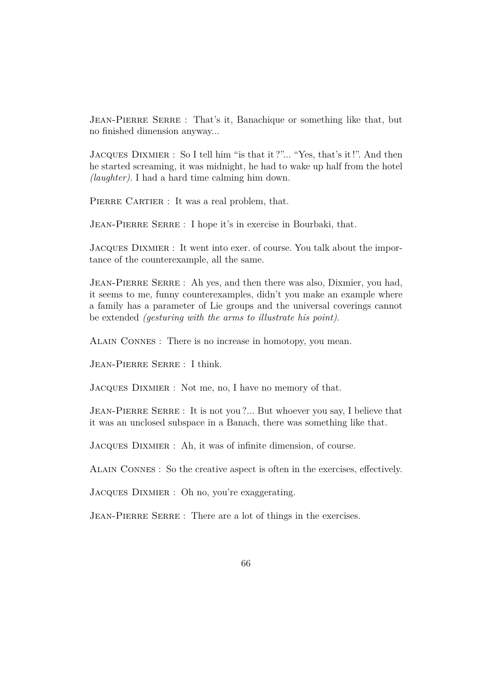JEAN-PIERRE SERRE : That's it, Banachique or something like that, but no finished dimension anyway...

Jacques Dixmier : So I tell him "is that it ?"... "Yes, that's it !". And then he started screaming, it was midnight, he had to wake up half from the hotel *(laughter)*. I had a hard time calming him down.

PIERRE CARTIER : It was a real problem, that.

JEAN-PIERRE SERRE : I hope it's in exercise in Bourbaki, that.

Jacques Dixmier : It went into exer. of course. You talk about the importance of the counterexample, all the same.

JEAN-PIERRE SERRE : Ah yes, and then there was also, Dixmier, you had, it seems to me, funny counterexamples, didn't you make an example where a family has a parameter of Lie groups and the universal coverings cannot be extended *(gesturing with the arms to illustrate his point)*.

Alain Connes : There is no increase in homotopy, you mean.

Jean-Pierre Serre : I think.

Jacques Dixmier : Not me, no, I have no memory of that.

JEAN-PIERRE SERRE : It is not you ?... But whoever you say, I believe that it was an unclosed subspace in a Banach, there was something like that.

JACQUES DIXMIER : Ah, it was of infinite dimension, of course.

Alain Connes : So the creative aspect is often in the exercises, effectively.

JACQUES DIXMIER : Oh no, you're exaggerating.

JEAN-PIERRE SERRE : There are a lot of things in the exercises.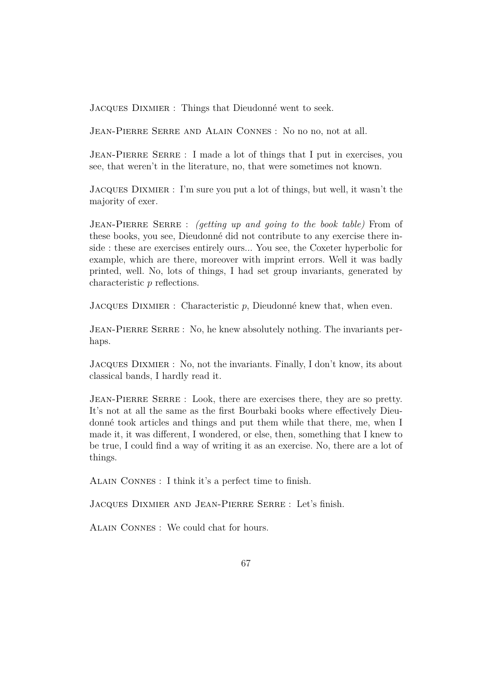Jacques Dixmier : Things that Dieudonné went to seek.

Jean-Pierre Serre and Alain Connes : No no no, not at all.

JEAN-PIERRE SERRE : I made a lot of things that I put in exercises, you see, that weren't in the literature, no, that were sometimes not known.

Jacques Dixmier : I'm sure you put a lot of things, but well, it wasn't the majority of exer.

Jean-Pierre Serre : *(getting up and going to the book table)* From of these books, you see, Dieudonné did not contribute to any exercise there inside : these are exercises entirely ours... You see, the Coxeter hyperbolic for example, which are there, moreover with imprint errors. Well it was badly printed, well. No, lots of things, I had set group invariants, generated by characteristic *p* reflections.

JACQUES DIXMIER : Characteristic *p*, Dieudonné knew that, when even.

JEAN-PIERRE SERRE : No, he knew absolutely nothing. The invariants perhaps.

Jacques Dixmier : No, not the invariants. Finally, I don't know, its about classical bands, I hardly read it.

Jean-Pierre Serre : Look, there are exercises there, they are so pretty. It's not at all the same as the first Bourbaki books where effectively Dieudonné took articles and things and put them while that there, me, when I made it, it was different, I wondered, or else, then, something that I knew to be true, I could find a way of writing it as an exercise. No, there are a lot of things.

Alain Connes : I think it's a perfect time to finish.

Jacques Dixmier and Jean-Pierre Serre : Let's finish.

Alain Connes : We could chat for hours.